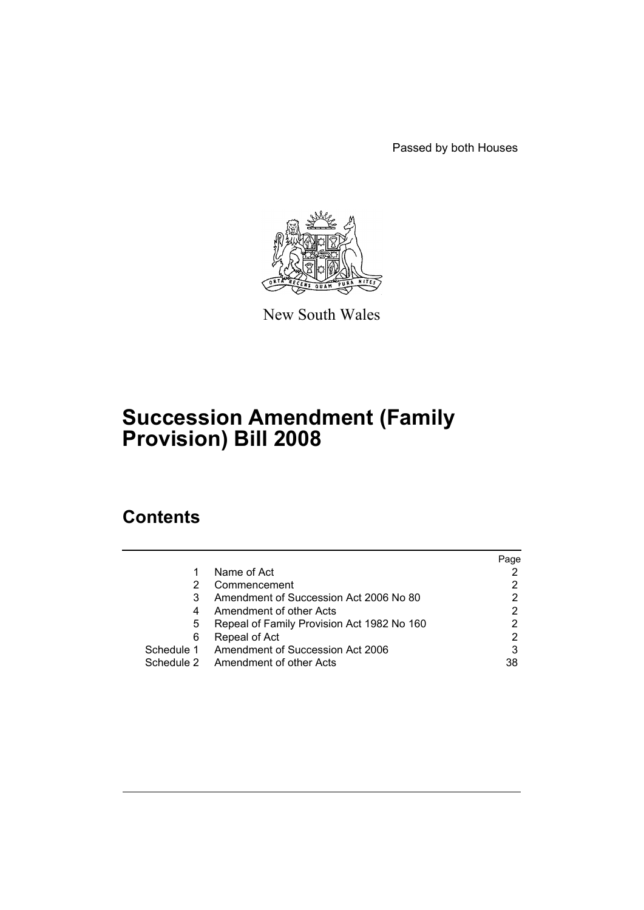Passed by both Houses



New South Wales

# **Succession Amendment (Family Provision) Bill 2008**

# **Contents**

|   |                                             | Page |
|---|---------------------------------------------|------|
|   | Name of Act                                 |      |
| 2 | Commencement                                |      |
| 3 | Amendment of Succession Act 2006 No 80      |      |
| 4 | Amendment of other Acts                     |      |
| 5 | Repeal of Family Provision Act 1982 No 160  |      |
| 6 | Repeal of Act                               | 2    |
|   | Schedule 1 Amendment of Succession Act 2006 | 3    |
|   | Schedule 2 Amendment of other Acts          | 38   |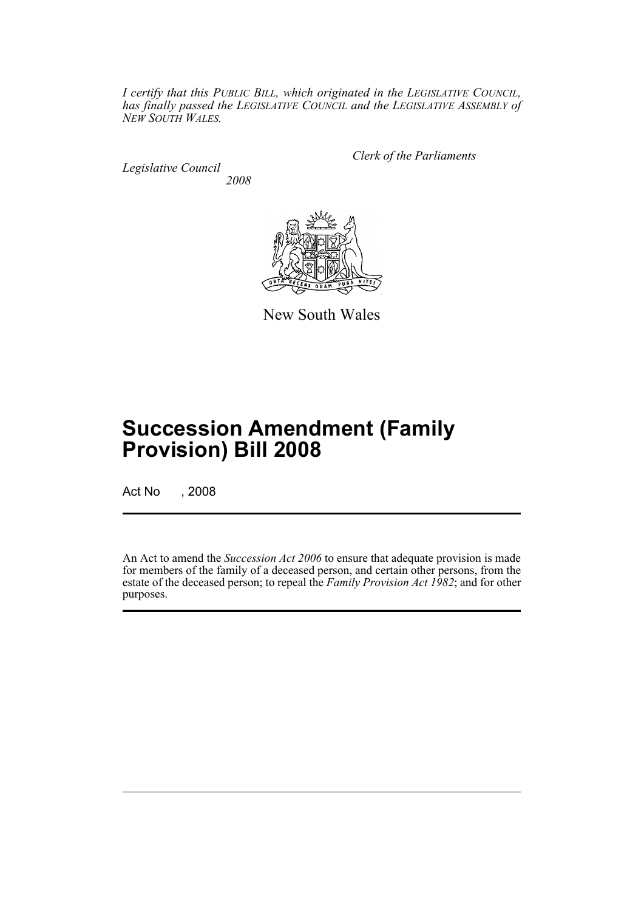*I certify that this PUBLIC BILL, which originated in the LEGISLATIVE COUNCIL, has finally passed the LEGISLATIVE COUNCIL and the LEGISLATIVE ASSEMBLY of NEW SOUTH WALES.*

*Legislative Council 2008* *Clerk of the Parliaments*



New South Wales

# **Succession Amendment (Family Provision) Bill 2008**

Act No , 2008

An Act to amend the *Succession Act 2006* to ensure that adequate provision is made for members of the family of a deceased person, and certain other persons, from the estate of the deceased person; to repeal the *Family Provision Act 1982*; and for other purposes.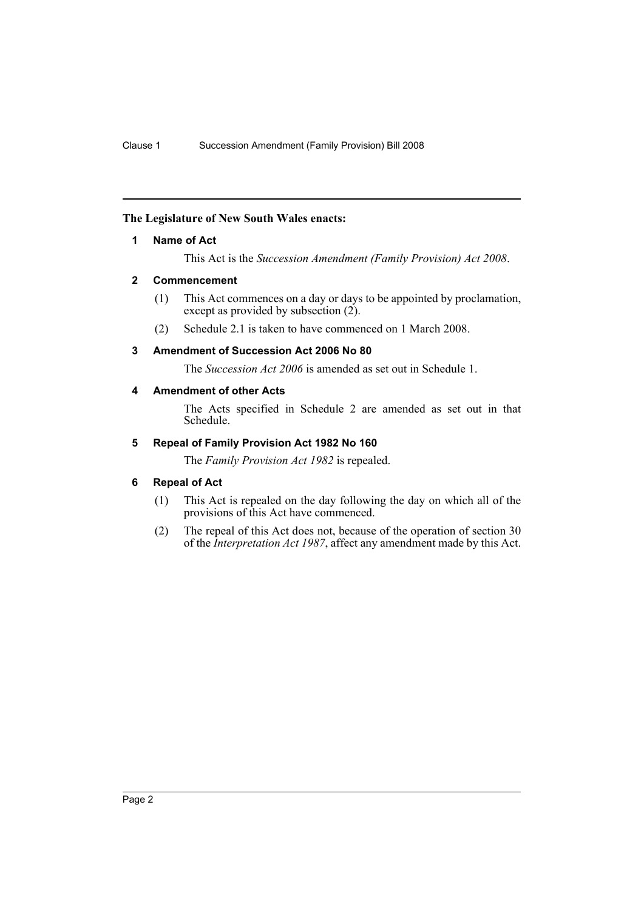# <span id="page-2-0"></span>**The Legislature of New South Wales enacts:**

# **1 Name of Act**

This Act is the *Succession Amendment (Family Provision) Act 2008*.

# <span id="page-2-1"></span>**2 Commencement**

- (1) This Act commences on a day or days to be appointed by proclamation, except as provided by subsection  $(2)$ .
- (2) Schedule 2.1 is taken to have commenced on 1 March 2008.

# <span id="page-2-2"></span>**3 Amendment of Succession Act 2006 No 80**

The *Succession Act 2006* is amended as set out in Schedule 1.

# <span id="page-2-3"></span>**4 Amendment of other Acts**

The Acts specified in Schedule 2 are amended as set out in that Schedule.

# <span id="page-2-4"></span>**5 Repeal of Family Provision Act 1982 No 160**

The *Family Provision Act 1982* is repealed.

# <span id="page-2-5"></span>**6 Repeal of Act**

- (1) This Act is repealed on the day following the day on which all of the provisions of this Act have commenced.
- (2) The repeal of this Act does not, because of the operation of section 30 of the *Interpretation Act 1987*, affect any amendment made by this Act.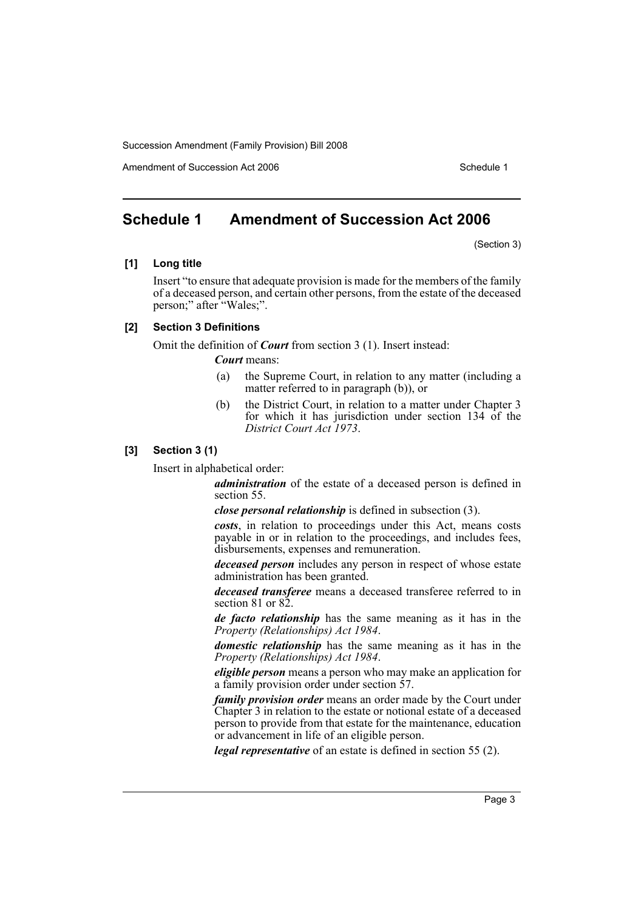Amendment of Succession Act 2006 Schedule 1

# <span id="page-3-0"></span>**Schedule 1 Amendment of Succession Act 2006**

(Section 3)

### **[1] Long title**

Insert "to ensure that adequate provision is made for the members of the family of a deceased person, and certain other persons, from the estate of the deceased person;" after "Wales;".

# **[2] Section 3 Definitions**

Omit the definition of *Court* from section 3 (1). Insert instead:

*Court* means:

- (a) the Supreme Court, in relation to any matter (including a matter referred to in paragraph (b)), or
- (b) the District Court, in relation to a matter under Chapter 3 for which it has jurisdiction under section 134 of the *District Court Act 1973*.

# **[3] Section 3 (1)**

Insert in alphabetical order:

*administration* of the estate of a deceased person is defined in section 55.

*close personal relationship* is defined in subsection (3).

*costs*, in relation to proceedings under this Act, means costs payable in or in relation to the proceedings, and includes fees, disbursements, expenses and remuneration.

*deceased person* includes any person in respect of whose estate administration has been granted.

*deceased transferee* means a deceased transferee referred to in section 81 or 82.

*de facto relationship* has the same meaning as it has in the *Property (Relationships) Act 1984*.

*domestic relationship* has the same meaning as it has in the *Property (Relationships) Act 1984*.

*eligible person* means a person who may make an application for a family provision order under section 57.

*family provision order* means an order made by the Court under Chapter 3 in relation to the estate or notional estate of a deceased person to provide from that estate for the maintenance, education or advancement in life of an eligible person.

*legal representative* of an estate is defined in section 55 (2).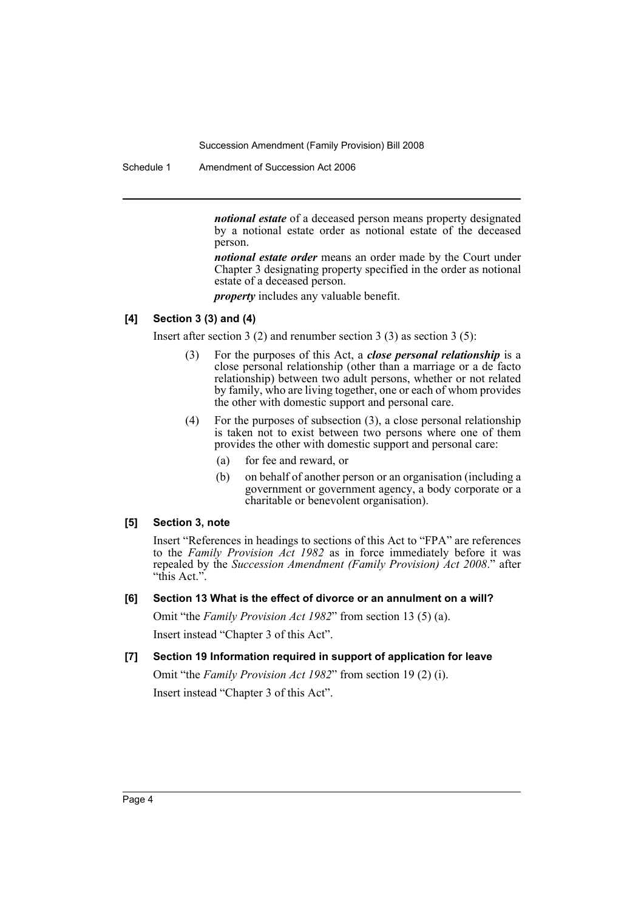Schedule 1 Amendment of Succession Act 2006

*notional estate* of a deceased person means property designated by a notional estate order as notional estate of the deceased person.

*notional estate order* means an order made by the Court under Chapter 3 designating property specified in the order as notional estate of a deceased person.

*property* includes any valuable benefit.

# **[4] Section 3 (3) and (4)**

Insert after section 3 (2) and renumber section 3 (3) as section 3 (5):

- (3) For the purposes of this Act, a *close personal relationship* is a close personal relationship (other than a marriage or a de facto relationship) between two adult persons, whether or not related by family, who are living together, one or each of whom provides the other with domestic support and personal care.
- (4) For the purposes of subsection (3), a close personal relationship is taken not to exist between two persons where one of them provides the other with domestic support and personal care:
	- (a) for fee and reward, or
	- (b) on behalf of another person or an organisation (including a government or government agency, a body corporate or a charitable or benevolent organisation).

# **[5] Section 3, note**

Insert "References in headings to sections of this Act to "FPA" are references to the *Family Provision Act 1982* as in force immediately before it was repealed by the *Succession Amendment (Family Provision) Act 2008*." after "this Act.".

**[6] Section 13 What is the effect of divorce or an annulment on a will?**

Omit "the *Family Provision Act 1982*" from section 13 (5) (a).

Insert instead "Chapter 3 of this Act".

**[7] Section 19 Information required in support of application for leave** Omit "the *Family Provision Act 1982*" from section 19 (2) (i). Insert instead "Chapter 3 of this Act".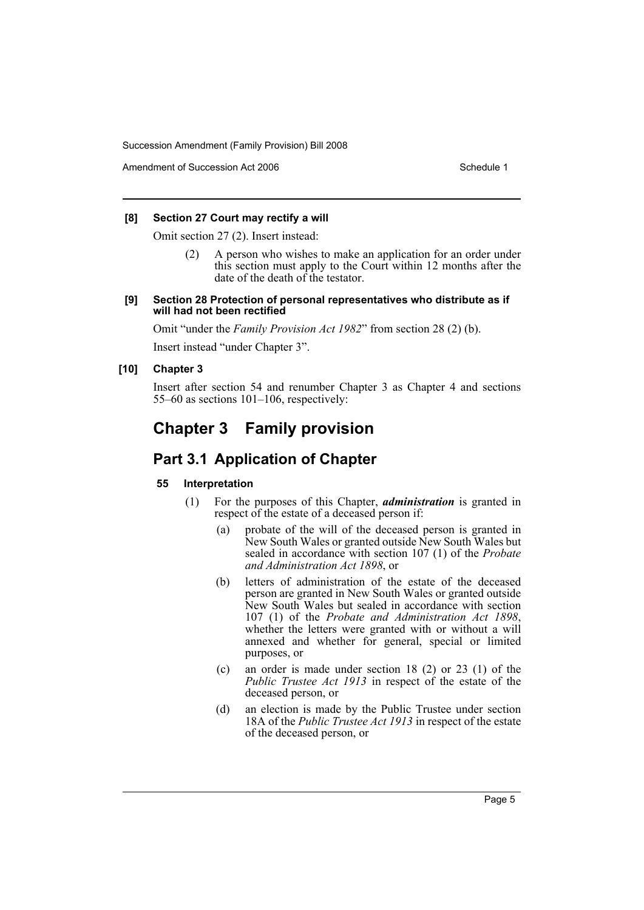Amendment of Succession Act 2006 Schedule 1

# **[8] Section 27 Court may rectify a will**

Omit section 27 (2). Insert instead:

(2) A person who wishes to make an application for an order under this section must apply to the Court within 12 months after the date of the death of the testator.

#### **[9] Section 28 Protection of personal representatives who distribute as if will had not been rectified**

Omit "under the *Family Provision Act 1982*" from section 28 (2) (b).

Insert instead "under Chapter 3".

# **[10] Chapter 3**

Insert after section 54 and renumber Chapter 3 as Chapter 4 and sections 55–60 as sections 101–106, respectively:

# **Chapter 3 Family provision**

# **Part 3.1 Application of Chapter**

# **55 Interpretation**

- (1) For the purposes of this Chapter, *administration* is granted in respect of the estate of a deceased person if:
	- (a) probate of the will of the deceased person is granted in New South Wales or granted outside New South Wales but sealed in accordance with section 107 (1) of the *Probate and Administration Act 1898*, or
	- (b) letters of administration of the estate of the deceased person are granted in New South Wales or granted outside New South Wales but sealed in accordance with section 107 (1) of the *Probate and Administration Act 1898*, whether the letters were granted with or without a will annexed and whether for general, special or limited purposes, or
	- (c) an order is made under section 18 (2) or 23 (1) of the *Public Trustee Act 1913* in respect of the estate of the deceased person, or
	- (d) an election is made by the Public Trustee under section 18A of the *Public Trustee Act 1913* in respect of the estate of the deceased person, or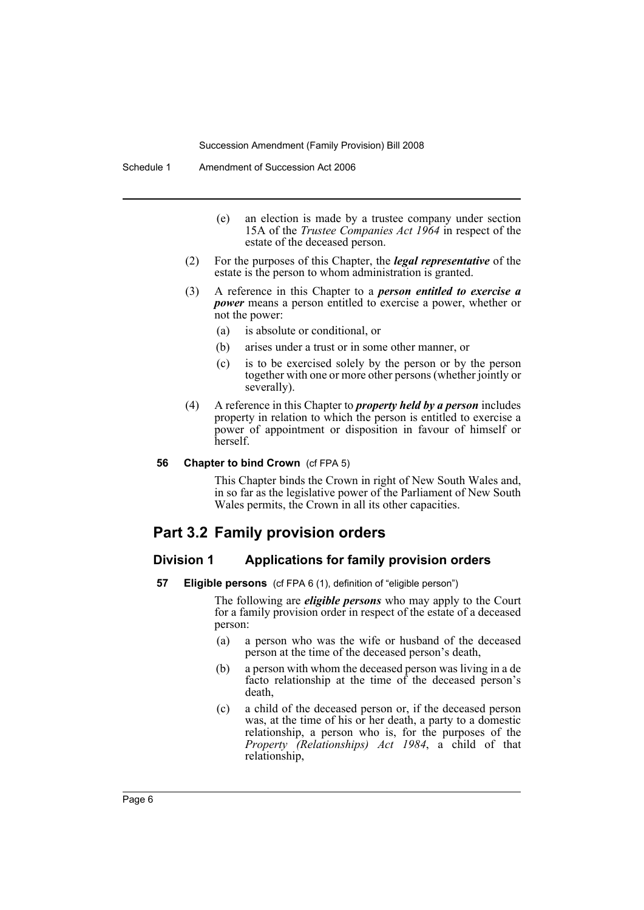- (e) an election is made by a trustee company under section 15A of the *Trustee Companies Act 1964* in respect of the estate of the deceased person.
- (2) For the purposes of this Chapter, the *legal representative* of the estate is the person to whom administration is granted.
- (3) A reference in this Chapter to a *person entitled to exercise a power* means a person entitled to exercise a power, whether or not the power:
	- (a) is absolute or conditional, or
	- (b) arises under a trust or in some other manner, or
	- (c) is to be exercised solely by the person or by the person together with one or more other persons (whether jointly or severally).
- (4) A reference in this Chapter to *property held by a person* includes property in relation to which the person is entitled to exercise a power of appointment or disposition in favour of himself or herself.

#### **56 Chapter to bind Crown** (cf FPA 5)

This Chapter binds the Crown in right of New South Wales and, in so far as the legislative power of the Parliament of New South Wales permits, the Crown in all its other capacities.

# **Part 3.2 Family provision orders**

### **Division 1 Applications for family provision orders**

**57 Eligible persons** (cf FPA 6 (1), definition of "eligible person")

The following are *eligible persons* who may apply to the Court for a family provision order in respect of the estate of a deceased person:

- (a) a person who was the wife or husband of the deceased person at the time of the deceased person's death,
- (b) a person with whom the deceased person was living in a de facto relationship at the time of the deceased person's death,
- (c) a child of the deceased person or, if the deceased person was, at the time of his or her death, a party to a domestic relationship, a person who is, for the purposes of the *Property (Relationships) Act 1984*, a child of that relationship,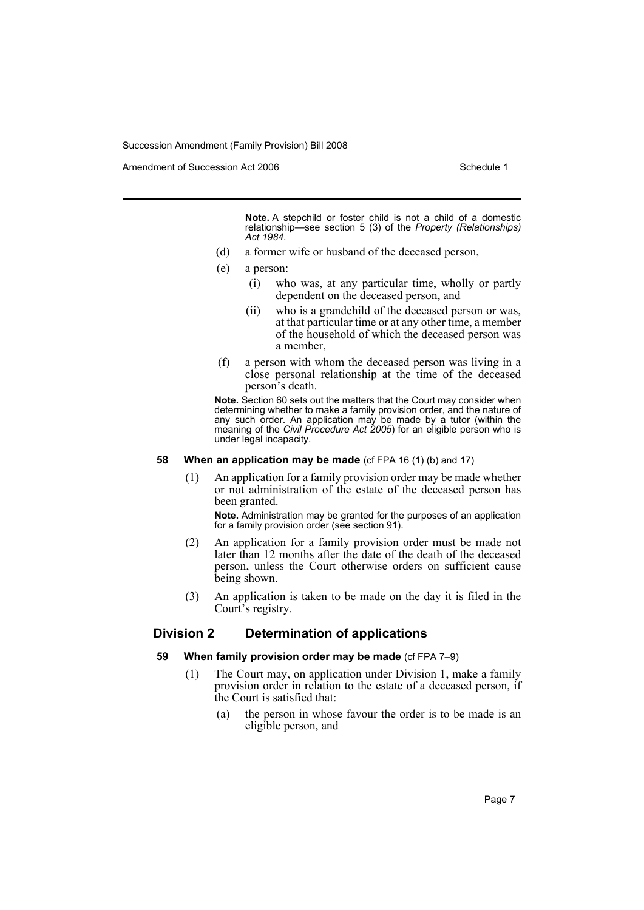Amendment of Succession Act 2006 Schedule 1

**Note.** A stepchild or foster child is not a child of a domestic relationship—see section 5 (3) of the *Property (Relationships) Act 1984*.

- (d) a former wife or husband of the deceased person,
- (e) a person:
	- (i) who was, at any particular time, wholly or partly dependent on the deceased person, and
	- (ii) who is a grandchild of the deceased person or was, at that particular time or at any other time, a member of the household of which the deceased person was a member,
- (f) a person with whom the deceased person was living in a close personal relationship at the time of the deceased person's death.

**Note.** Section 60 sets out the matters that the Court may consider when determining whether to make a family provision order, and the nature of any such order. An application may be made by a tutor (within the meaning of the *Civil Procedure Act 2005*) for an eligible person who is under legal incapacity.

### **58 When an application may be made** (cf FPA 16 (1) (b) and 17)

(1) An application for a family provision order may be made whether or not administration of the estate of the deceased person has been granted.

**Note.** Administration may be granted for the purposes of an application for a family provision order (see section 91).

- (2) An application for a family provision order must be made not later than 12 months after the date of the death of the deceased person, unless the Court otherwise orders on sufficient cause being shown.
- (3) An application is taken to be made on the day it is filed in the Court's registry.

# **Division 2 Determination of applications**

#### **59 When family provision order may be made** (cf FPA 7–9)

- (1) The Court may, on application under Division 1, make a family provision order in relation to the estate of a deceased person, if the Court is satisfied that:
	- (a) the person in whose favour the order is to be made is an eligible person, and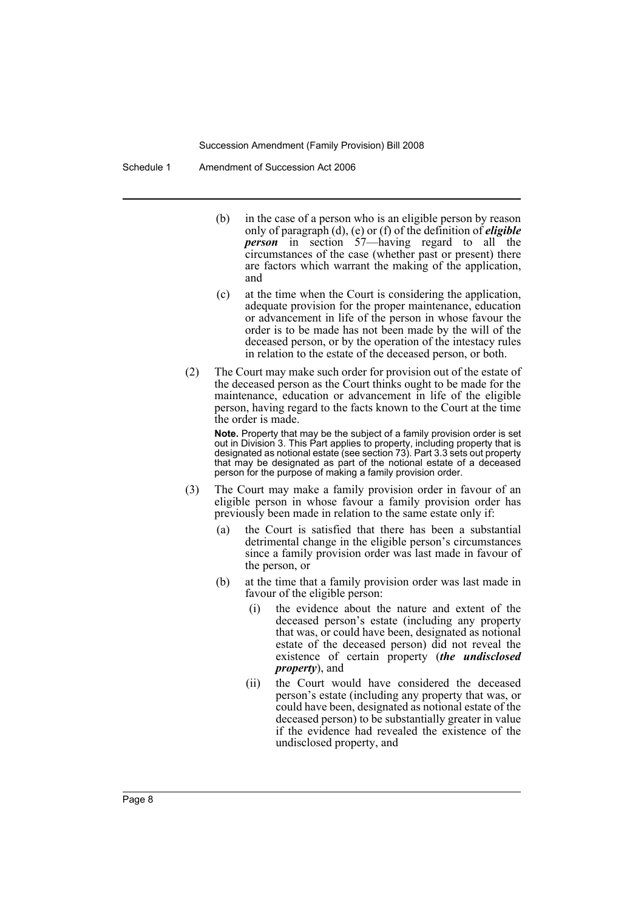Schedule 1 Amendment of Succession Act 2006

- (b) in the case of a person who is an eligible person by reason only of paragraph (d), (e) or (f) of the definition of *eligible person* in section 57—having regard to all the circumstances of the case (whether past or present) there are factors which warrant the making of the application, and
- (c) at the time when the Court is considering the application, adequate provision for the proper maintenance, education or advancement in life of the person in whose favour the order is to be made has not been made by the will of the deceased person, or by the operation of the intestacy rules in relation to the estate of the deceased person, or both.
- (2) The Court may make such order for provision out of the estate of the deceased person as the Court thinks ought to be made for the maintenance, education or advancement in life of the eligible person, having regard to the facts known to the Court at the time the order is made.

**Note.** Property that may be the subject of a family provision order is set out in Division 3. This Part applies to property, including property that is designated as notional estate (see section 73). Part 3.3 sets out property that may be designated as part of the notional estate of a deceased person for the purpose of making a family provision order.

- (3) The Court may make a family provision order in favour of an eligible person in whose favour a family provision order has previously been made in relation to the same estate only if:
	- (a) the Court is satisfied that there has been a substantial detrimental change in the eligible person's circumstances since a family provision order was last made in favour of the person, or
	- (b) at the time that a family provision order was last made in favour of the eligible person:
		- (i) the evidence about the nature and extent of the deceased person's estate (including any property that was, or could have been, designated as notional estate of the deceased person) did not reveal the existence of certain property (*the undisclosed property*), and
		- (ii) the Court would have considered the deceased person's estate (including any property that was, or could have been, designated as notional estate of the deceased person) to be substantially greater in value if the evidence had revealed the existence of the undisclosed property, and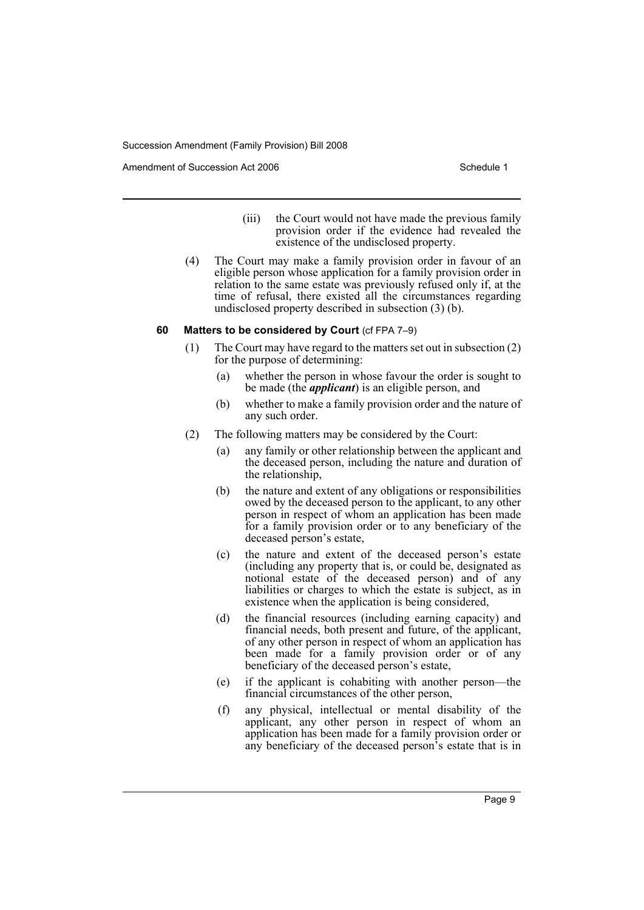Amendment of Succession Act 2006 Schedule 1

- (iii) the Court would not have made the previous family provision order if the evidence had revealed the existence of the undisclosed property.
- (4) The Court may make a family provision order in favour of an eligible person whose application for a family provision order in relation to the same estate was previously refused only if, at the time of refusal, there existed all the circumstances regarding undisclosed property described in subsection (3) (b).

#### **60 Matters to be considered by Court** (cf FPA 7–9)

- (1) The Court may have regard to the matters set out in subsection (2) for the purpose of determining:
	- (a) whether the person in whose favour the order is sought to be made (the *applicant*) is an eligible person, and
	- (b) whether to make a family provision order and the nature of any such order.
- (2) The following matters may be considered by the Court:
	- (a) any family or other relationship between the applicant and the deceased person, including the nature and duration of the relationship,
	- (b) the nature and extent of any obligations or responsibilities owed by the deceased person to the applicant, to any other person in respect of whom an application has been made for a family provision order or to any beneficiary of the deceased person's estate,
	- (c) the nature and extent of the deceased person's estate (including any property that is, or could be, designated as notional estate of the deceased person) and of any liabilities or charges to which the estate is subject, as in existence when the application is being considered,
	- (d) the financial resources (including earning capacity) and financial needs, both present and future, of the applicant, of any other person in respect of whom an application has been made for a family provision order or of any beneficiary of the deceased person's estate,
	- (e) if the applicant is cohabiting with another person—the financial circumstances of the other person,
	- (f) any physical, intellectual or mental disability of the applicant, any other person in respect of whom an application has been made for a family provision order or any beneficiary of the deceased person's estate that is in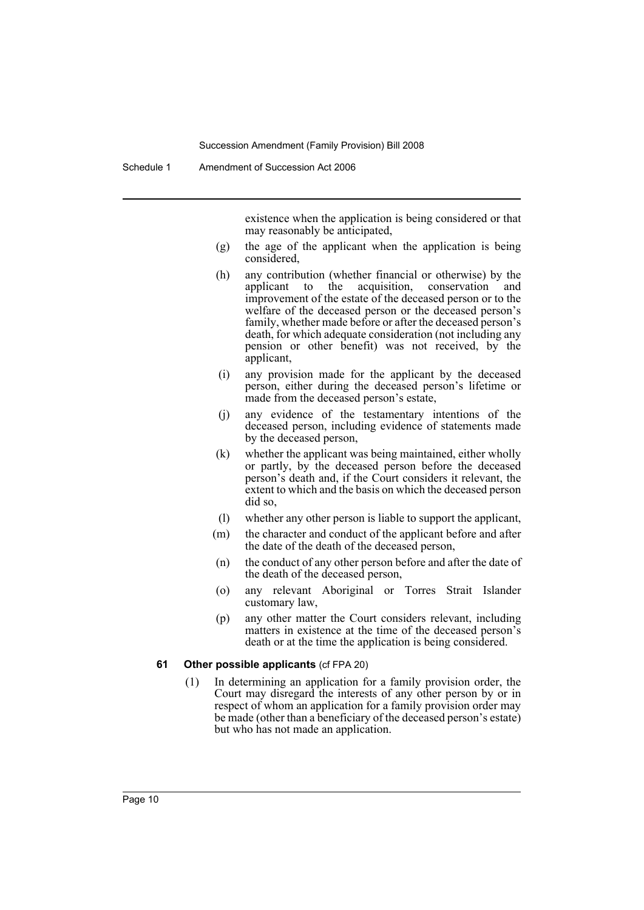existence when the application is being considered or that may reasonably be anticipated,

- (g) the age of the applicant when the application is being considered,
- (h) any contribution (whether financial or otherwise) by the applicant to the acquisition, conservation and improvement of the estate of the deceased person or to the welfare of the deceased person or the deceased person's family, whether made before or after the deceased person's death, for which adequate consideration (not including any pension or other benefit) was not received, by the applicant,
- (i) any provision made for the applicant by the deceased person, either during the deceased person's lifetime or made from the deceased person's estate,
- (j) any evidence of the testamentary intentions of the deceased person, including evidence of statements made by the deceased person,
- (k) whether the applicant was being maintained, either wholly or partly, by the deceased person before the deceased person's death and, if the Court considers it relevant, the extent to which and the basis on which the deceased person did so,
- (l) whether any other person is liable to support the applicant,
- (m) the character and conduct of the applicant before and after the date of the death of the deceased person,
- (n) the conduct of any other person before and after the date of the death of the deceased person,
- (o) any relevant Aboriginal or Torres Strait Islander customary law,
- (p) any other matter the Court considers relevant, including matters in existence at the time of the deceased person's death or at the time the application is being considered.

#### **61 Other possible applicants** (cf FPA 20)

(1) In determining an application for a family provision order, the Court may disregard the interests of any other person by or in respect of whom an application for a family provision order may be made (other than a beneficiary of the deceased person's estate) but who has not made an application.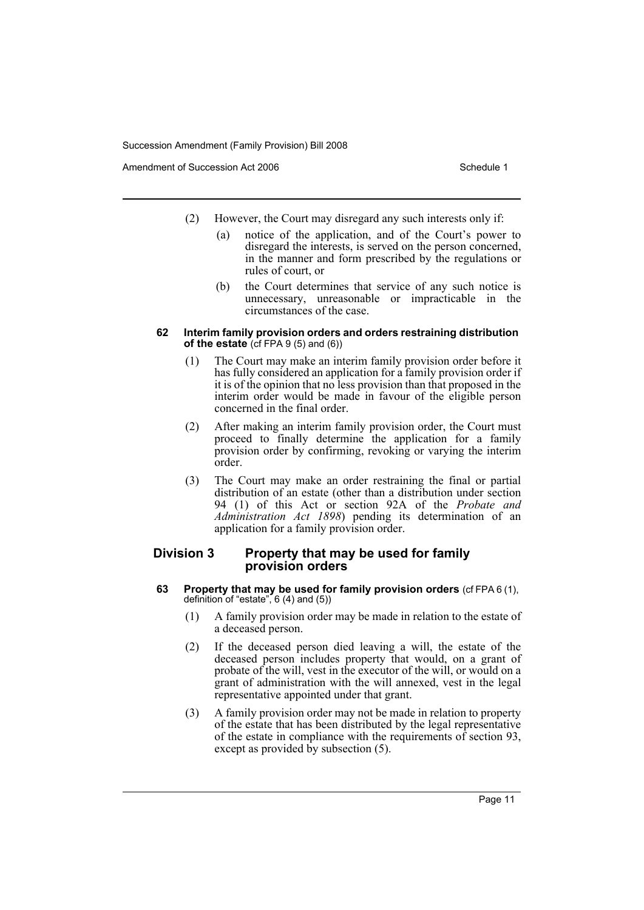Amendment of Succession Act 2006 Schedule 1

- (2) However, the Court may disregard any such interests only if:
	- (a) notice of the application, and of the Court's power to disregard the interests, is served on the person concerned, in the manner and form prescribed by the regulations or rules of court, or
	- (b) the Court determines that service of any such notice is unnecessary, unreasonable or impracticable in the circumstances of the case.

### **62 Interim family provision orders and orders restraining distribution of the estate** (cf FPA 9 (5) and (6))

- (1) The Court may make an interim family provision order before it has fully considered an application for a family provision order if it is of the opinion that no less provision than that proposed in the interim order would be made in favour of the eligible person concerned in the final order.
- (2) After making an interim family provision order, the Court must proceed to finally determine the application for a family provision order by confirming, revoking or varying the interim order.
- (3) The Court may make an order restraining the final or partial distribution of an estate (other than a distribution under section 94 (1) of this Act or section 92A of the *Probate and Administration Act 1898*) pending its determination of an application for a family provision order.

# **Division 3 Property that may be used for family provision orders**

- **63 Property that may be used for family provision orders** (cf FPA 6 (1), definition of "estate", 6 (4) and (5))
	- (1) A family provision order may be made in relation to the estate of a deceased person.
	- (2) If the deceased person died leaving a will, the estate of the deceased person includes property that would, on a grant of probate of the will, vest in the executor of the will, or would on a grant of administration with the will annexed, vest in the legal representative appointed under that grant.
	- (3) A family provision order may not be made in relation to property of the estate that has been distributed by the legal representative of the estate in compliance with the requirements of section 93, except as provided by subsection  $(5)$ .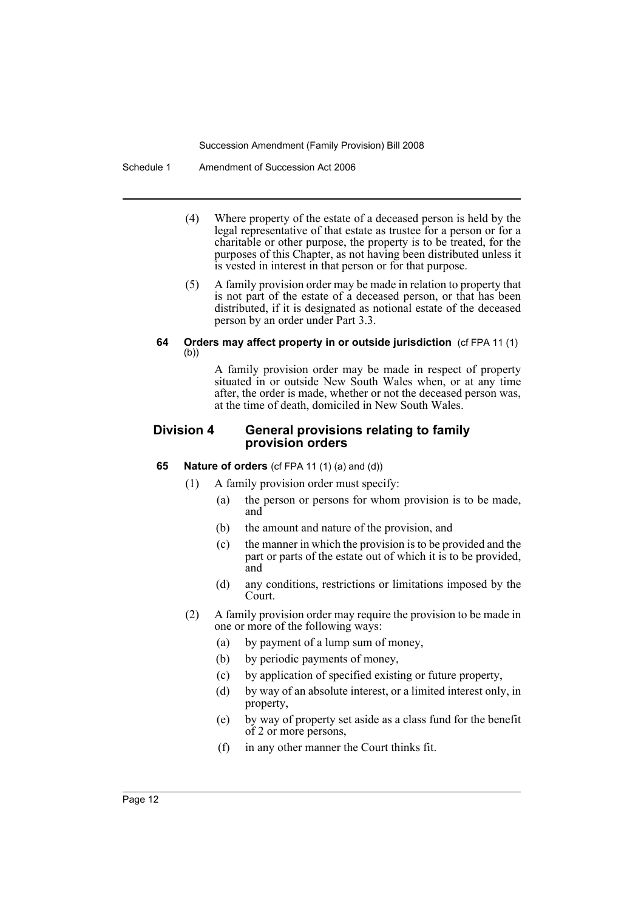Schedule 1 Amendment of Succession Act 2006

- (4) Where property of the estate of a deceased person is held by the legal representative of that estate as trustee for a person or for a charitable or other purpose, the property is to be treated, for the purposes of this Chapter, as not having been distributed unless it is vested in interest in that person or for that purpose.
- (5) A family provision order may be made in relation to property that is not part of the estate of a deceased person, or that has been distributed, if it is designated as notional estate of the deceased person by an order under Part 3.3.

# **64 Orders may affect property in or outside jurisdiction** (cf FPA 11 (1) (b))

A family provision order may be made in respect of property situated in or outside New South Wales when, or at any time after, the order is made, whether or not the deceased person was, at the time of death, domiciled in New South Wales.

# **Division 4 General provisions relating to family provision orders**

# **65 Nature of orders** (cf FPA 11 (1) (a) and (d))

- (1) A family provision order must specify:
	- (a) the person or persons for whom provision is to be made, and
	- (b) the amount and nature of the provision, and
	- (c) the manner in which the provision is to be provided and the part or parts of the estate out of which it is to be provided, and
	- (d) any conditions, restrictions or limitations imposed by the Court.
- (2) A family provision order may require the provision to be made in one or more of the following ways:
	- (a) by payment of a lump sum of money,
	- (b) by periodic payments of money,
	- (c) by application of specified existing or future property,
	- (d) by way of an absolute interest, or a limited interest only, in property,
	- (e) by way of property set aside as a class fund for the benefit of 2 or more persons,
	- (f) in any other manner the Court thinks fit.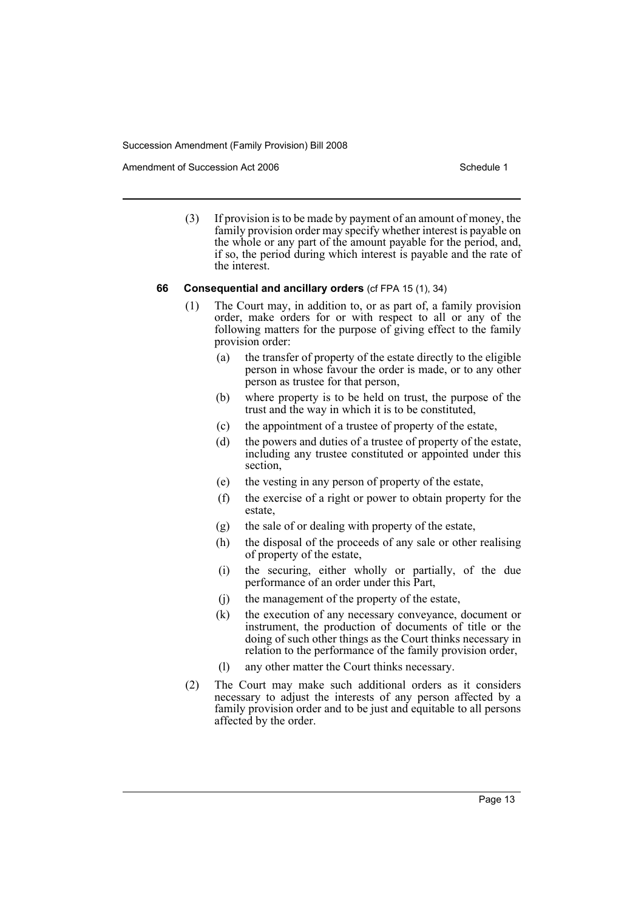Amendment of Succession Act 2006 Schedule 1

(3) If provision is to be made by payment of an amount of money, the family provision order may specify whether interest is payable on the whole or any part of the amount payable for the period, and, if so, the period during which interest is payable and the rate of the interest.

#### **66 Consequential and ancillary orders** (cf FPA 15 (1), 34)

- (1) The Court may, in addition to, or as part of, a family provision order, make orders for or with respect to all or any of the following matters for the purpose of giving effect to the family provision order:
	- (a) the transfer of property of the estate directly to the eligible person in whose favour the order is made, or to any other person as trustee for that person,
	- (b) where property is to be held on trust, the purpose of the trust and the way in which it is to be constituted,
	- (c) the appointment of a trustee of property of the estate,
	- (d) the powers and duties of a trustee of property of the estate, including any trustee constituted or appointed under this section,
	- (e) the vesting in any person of property of the estate,
	- (f) the exercise of a right or power to obtain property for the estate,
	- (g) the sale of or dealing with property of the estate,
	- (h) the disposal of the proceeds of any sale or other realising of property of the estate,
	- (i) the securing, either wholly or partially, of the due performance of an order under this Part,
	- (j) the management of the property of the estate,
	- (k) the execution of any necessary conveyance, document or instrument, the production of documents of title or the doing of such other things as the Court thinks necessary in relation to the performance of the family provision order,
	- (l) any other matter the Court thinks necessary.
- (2) The Court may make such additional orders as it considers necessary to adjust the interests of any person affected by a family provision order and to be just and equitable to all persons affected by the order.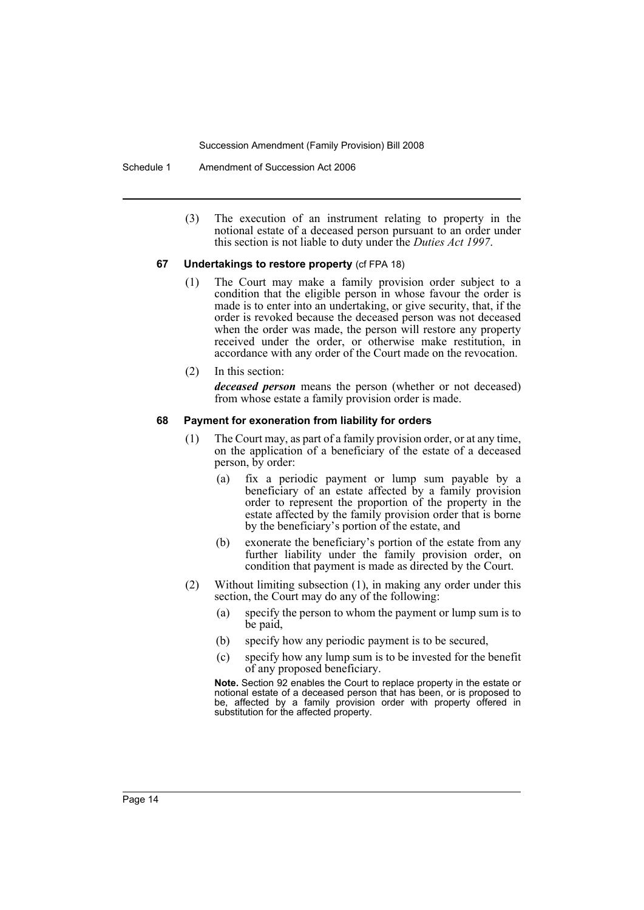Schedule 1 Amendment of Succession Act 2006

(3) The execution of an instrument relating to property in the notional estate of a deceased person pursuant to an order under this section is not liable to duty under the *Duties Act 1997*.

#### **67 Undertakings to restore property** (cf FPA 18)

- (1) The Court may make a family provision order subject to a condition that the eligible person in whose favour the order is made is to enter into an undertaking, or give security, that, if the order is revoked because the deceased person was not deceased when the order was made, the person will restore any property received under the order, or otherwise make restitution, in accordance with any order of the Court made on the revocation.
- (2) In this section: *deceased person* means the person (whether or not deceased) from whose estate a family provision order is made.

#### **68 Payment for exoneration from liability for orders**

- (1) The Court may, as part of a family provision order, or at any time, on the application of a beneficiary of the estate of a deceased person, by order:
	- (a) fix a periodic payment or lump sum payable by a beneficiary of an estate affected by a family provision order to represent the proportion of the property in the estate affected by the family provision order that is borne by the beneficiary's portion of the estate, and
	- (b) exonerate the beneficiary's portion of the estate from any further liability under the family provision order, on condition that payment is made as directed by the Court.
- (2) Without limiting subsection (1), in making any order under this section, the Court may do any of the following:
	- (a) specify the person to whom the payment or lump sum is to be paid,
	- (b) specify how any periodic payment is to be secured,
	- (c) specify how any lump sum is to be invested for the benefit of any proposed beneficiary.

**Note.** Section 92 enables the Court to replace property in the estate or notional estate of a deceased person that has been, or is proposed to be, affected by a family provision order with property offered in substitution for the affected property.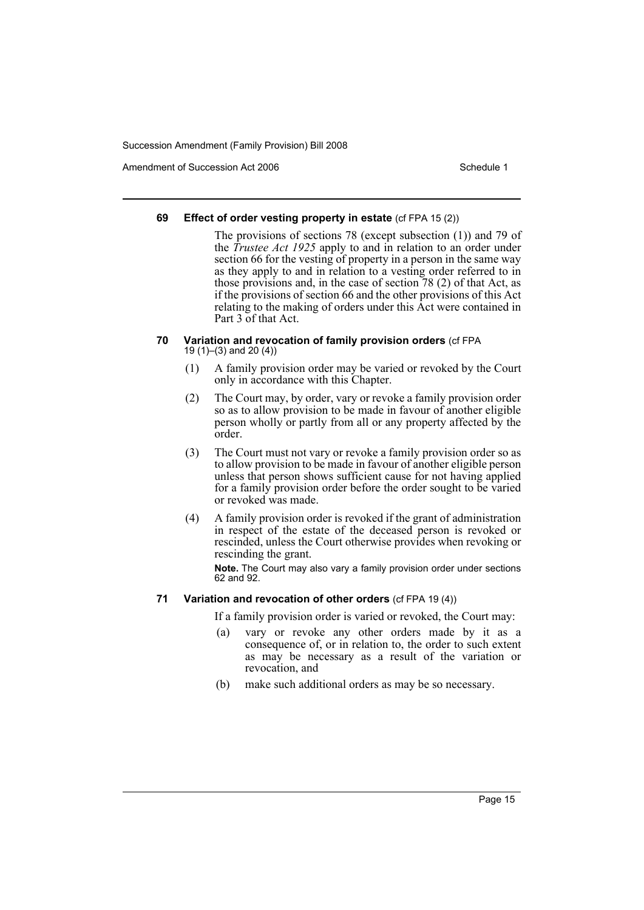Amendment of Succession Act 2006 Schedule 1

### **69 Effect of order vesting property in estate** (cf FPA 15 (2))

The provisions of sections 78 (except subsection (1)) and 79 of the *Trustee Act 1925* apply to and in relation to an order under section 66 for the vesting of property in a person in the same way as they apply to and in relation to a vesting order referred to in those provisions and, in the case of section 78 (2) of that Act, as if the provisions of section 66 and the other provisions of this Act relating to the making of orders under this Act were contained in Part 3 of that Act.

#### **70 Variation and revocation of family provision orders** (cf FPA 19 (1)–(3) and 20 (4))

- (1) A family provision order may be varied or revoked by the Court only in accordance with this Chapter.
- (2) The Court may, by order, vary or revoke a family provision order so as to allow provision to be made in favour of another eligible person wholly or partly from all or any property affected by the order.
- (3) The Court must not vary or revoke a family provision order so as to allow provision to be made in favour of another eligible person unless that person shows sufficient cause for not having applied for a family provision order before the order sought to be varied or revoked was made.
- (4) A family provision order is revoked if the grant of administration in respect of the estate of the deceased person is revoked or rescinded, unless the Court otherwise provides when revoking or rescinding the grant.

**Note.** The Court may also vary a family provision order under sections 62 and 92.

# **71 Variation and revocation of other orders** (cf FPA 19 (4))

If a family provision order is varied or revoked, the Court may:

- (a) vary or revoke any other orders made by it as a consequence of, or in relation to, the order to such extent as may be necessary as a result of the variation or revocation, and
- (b) make such additional orders as may be so necessary.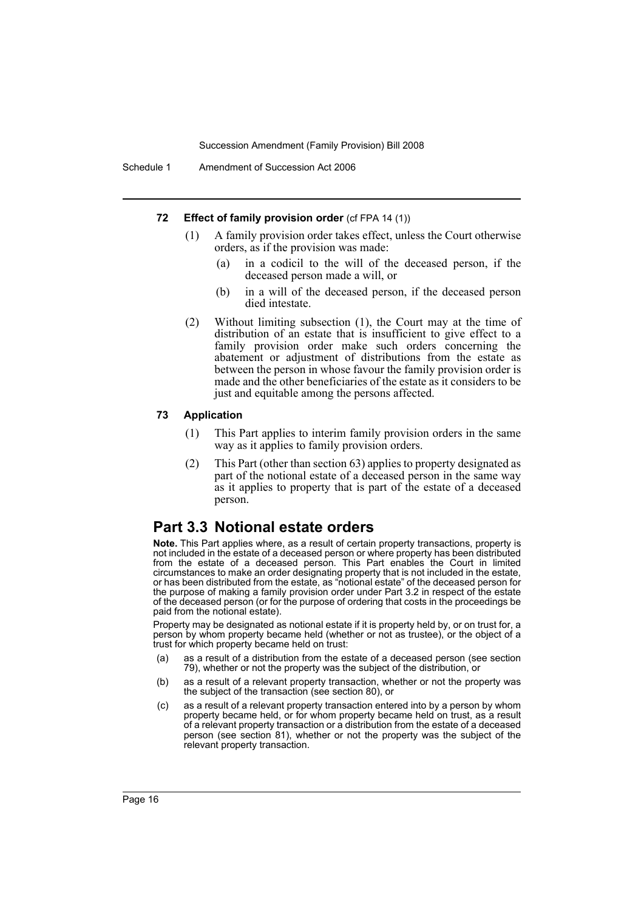#### **72 Effect of family provision order** (cf FPA 14 (1))

- (1) A family provision order takes effect, unless the Court otherwise orders, as if the provision was made:
	- (a) in a codicil to the will of the deceased person, if the deceased person made a will, or
	- (b) in a will of the deceased person, if the deceased person died intestate.
- (2) Without limiting subsection (1), the Court may at the time of distribution of an estate that is insufficient to give effect to a family provision order make such orders concerning the abatement or adjustment of distributions from the estate as between the person in whose favour the family provision order is made and the other beneficiaries of the estate as it considers to be just and equitable among the persons affected.

#### **73 Application**

- (1) This Part applies to interim family provision orders in the same way as it applies to family provision orders.
- (2) This Part (other than section 63) applies to property designated as part of the notional estate of a deceased person in the same way as it applies to property that is part of the estate of a deceased person.

# **Part 3.3 Notional estate orders**

**Note.** This Part applies where, as a result of certain property transactions, property is not included in the estate of a deceased person or where property has been distributed from the estate of a deceased person. This Part enables the Court in limited circumstances to make an order designating property that is not included in the estate, or has been distributed from the estate, as "notional estate" of the deceased person for the purpose of making a family provision order under Part 3.2 in respect of the estate of the deceased person (or for the purpose of ordering that costs in the proceedings be paid from the notional estate).

Property may be designated as notional estate if it is property held by, or on trust for, a person by whom property became held (whether or not as trustee), or the object of a trust for which property became held on trust:

- (a) as a result of a distribution from the estate of a deceased person (see section 79), whether or not the property was the subject of the distribution, or
- (b) as a result of a relevant property transaction, whether or not the property was the subject of the transaction (see section 80), or
- (c) as a result of a relevant property transaction entered into by a person by whom property became held, or for whom property became held on trust, as a result of a relevant property transaction or a distribution from the estate of a deceased person (see section 81), whether or not the property was the subject of the relevant property transaction.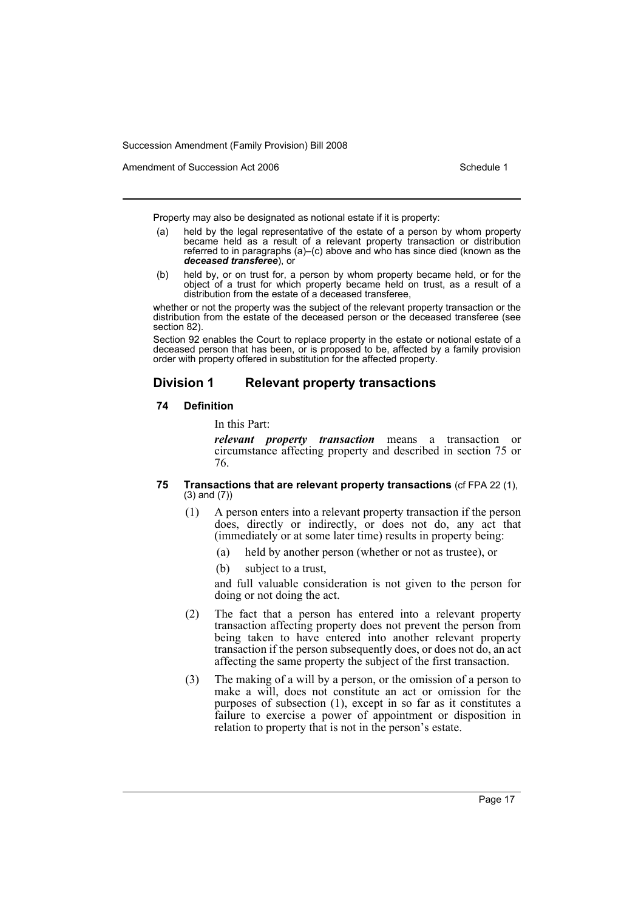Amendment of Succession Act 2006 Schedule 1

Property may also be designated as notional estate if it is property:

- (a) held by the legal representative of the estate of a person by whom property became held as a result of a relevant property transaction or distribution referred to in paragraphs (a)–(c) above and who has since died (known as the *deceased transferee*), or
- (b) held by, or on trust for, a person by whom property became held, or for the object of a trust for which property became held on trust, as a result of a distribution from the estate of a deceased transferee,

whether or not the property was the subject of the relevant property transaction or the distribution from the estate of the deceased person or the deceased transferee (see section 82).

Section 92 enables the Court to replace property in the estate or notional estate of a deceased person that has been, or is proposed to be, affected by a family provision order with property offered in substitution for the affected property.

# **Division 1 Relevant property transactions**

### **74 Definition**

In this Part:

*relevant property transaction* means a transaction or circumstance affecting property and described in section 75 or 76.

### **75 Transactions that are relevant property transactions** (cf FPA 22 (1), (3) and (7))

- (1) A person enters into a relevant property transaction if the person does, directly or indirectly, or does not do, any act that (immediately or at some later time) results in property being:
	- (a) held by another person (whether or not as trustee), or
	- (b) subject to a trust,

and full valuable consideration is not given to the person for doing or not doing the act.

- (2) The fact that a person has entered into a relevant property transaction affecting property does not prevent the person from being taken to have entered into another relevant property transaction if the person subsequently does, or does not do, an act affecting the same property the subject of the first transaction.
- (3) The making of a will by a person, or the omission of a person to make a will, does not constitute an act or omission for the purposes of subsection (1), except in so far as it constitutes a failure to exercise a power of appointment or disposition in relation to property that is not in the person's estate.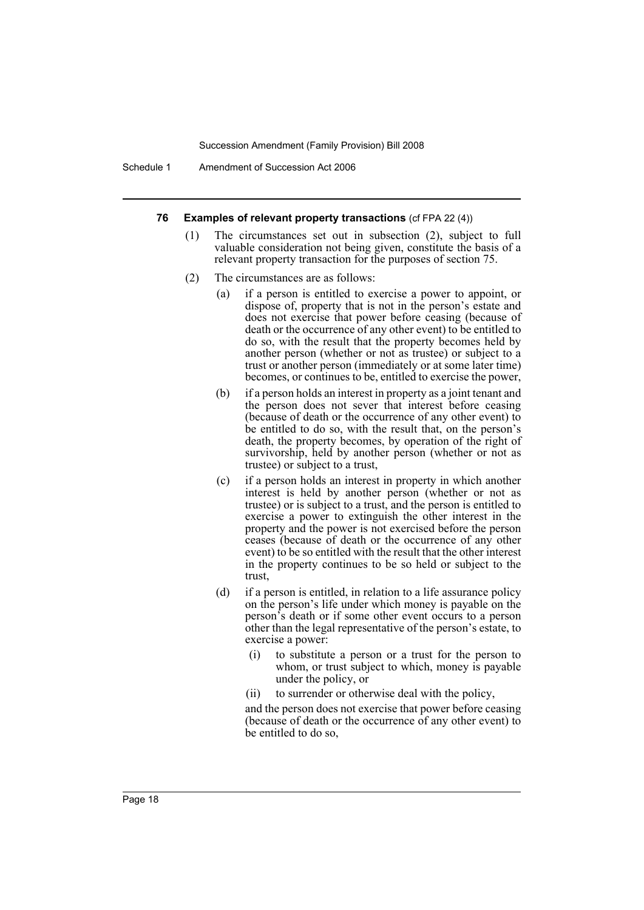Schedule 1 Amendment of Succession Act 2006

#### **76 Examples of relevant property transactions** (cf FPA 22 (4))

- (1) The circumstances set out in subsection (2), subject to full valuable consideration not being given, constitute the basis of a relevant property transaction for the purposes of section 75.
- (2) The circumstances are as follows:
	- (a) if a person is entitled to exercise a power to appoint, or dispose of, property that is not in the person's estate and does not exercise that power before ceasing (because of death or the occurrence of any other event) to be entitled to do so, with the result that the property becomes held by another person (whether or not as trustee) or subject to a trust or another person (immediately or at some later time) becomes, or continues to be, entitled to exercise the power,
	- (b) if a person holds an interest in property as a joint tenant and the person does not sever that interest before ceasing (because of death or the occurrence of any other event) to be entitled to do so, with the result that, on the person's death, the property becomes, by operation of the right of survivorship, held by another person (whether or not as trustee) or subject to a trust,
	- (c) if a person holds an interest in property in which another interest is held by another person (whether or not as trustee) or is subject to a trust, and the person is entitled to exercise a power to extinguish the other interest in the property and the power is not exercised before the person ceases (because of death or the occurrence of any other event) to be so entitled with the result that the other interest in the property continues to be so held or subject to the trust,
	- (d) if a person is entitled, in relation to a life assurance policy on the person's life under which money is payable on the person's death or if some other event occurs to a person other than the legal representative of the person's estate, to exercise a power:
		- (i) to substitute a person or a trust for the person to whom, or trust subject to which, money is payable under the policy, or
		- (ii) to surrender or otherwise deal with the policy,

and the person does not exercise that power before ceasing (because of death or the occurrence of any other event) to be entitled to do so,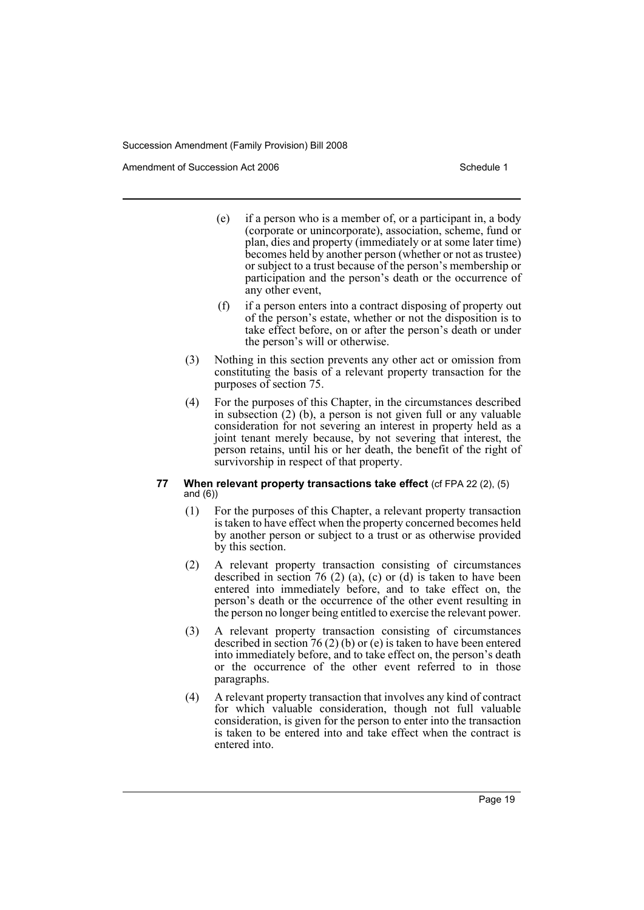Amendment of Succession Act 2006 Schedule 1

- (e) if a person who is a member of, or a participant in, a body (corporate or unincorporate), association, scheme, fund or plan, dies and property (immediately or at some later time) becomes held by another person (whether or not as trustee) or subject to a trust because of the person's membership or participation and the person's death or the occurrence of any other event,
- (f) if a person enters into a contract disposing of property out of the person's estate, whether or not the disposition is to take effect before, on or after the person's death or under the person's will or otherwise.
- (3) Nothing in this section prevents any other act or omission from constituting the basis of a relevant property transaction for the purposes of section 75.
- (4) For the purposes of this Chapter, in the circumstances described in subsection (2) (b), a person is not given full or any valuable consideration for not severing an interest in property held as a joint tenant merely because, by not severing that interest, the person retains, until his or her death, the benefit of the right of survivorship in respect of that property.

# **77 When relevant property transactions take effect** (cf FPA 22 (2), (5) and (6))

- (1) For the purposes of this Chapter, a relevant property transaction is taken to have effect when the property concerned becomes held by another person or subject to a trust or as otherwise provided by this section.
- (2) A relevant property transaction consisting of circumstances described in section  $76$  (2) (a), (c) or (d) is taken to have been entered into immediately before, and to take effect on, the person's death or the occurrence of the other event resulting in the person no longer being entitled to exercise the relevant power.
- (3) A relevant property transaction consisting of circumstances described in section 76 (2) (b) or (e) is taken to have been entered into immediately before, and to take effect on, the person's death or the occurrence of the other event referred to in those paragraphs.
- (4) A relevant property transaction that involves any kind of contract for which valuable consideration, though not full valuable consideration, is given for the person to enter into the transaction is taken to be entered into and take effect when the contract is entered into.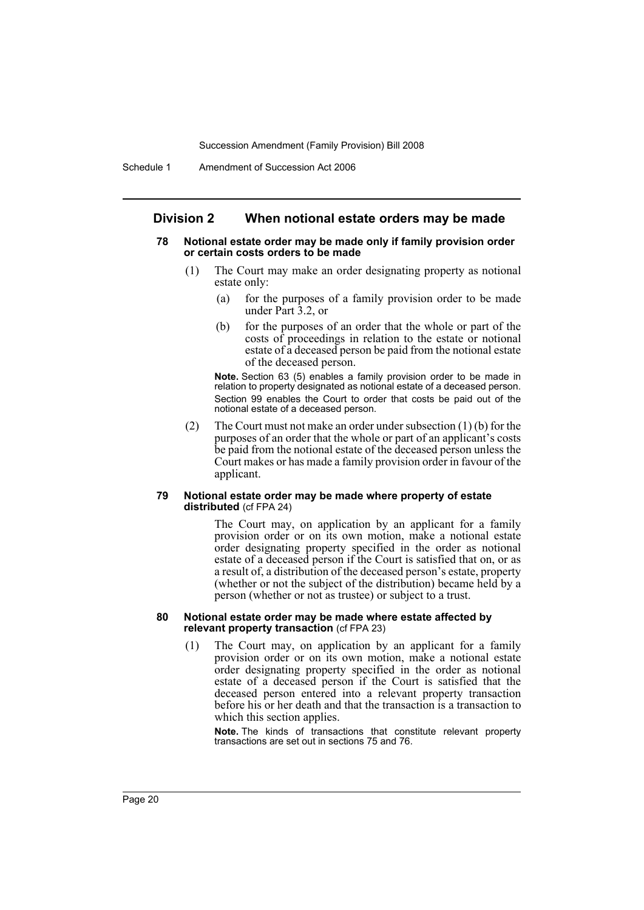# **Division 2 When notional estate orders may be made**

#### **78 Notional estate order may be made only if family provision order or certain costs orders to be made**

- (1) The Court may make an order designating property as notional estate only:
	- (a) for the purposes of a family provision order to be made under Part 3.2, or
	- (b) for the purposes of an order that the whole or part of the costs of proceedings in relation to the estate or notional estate of a deceased person be paid from the notional estate of the deceased person.

**Note.** Section 63 (5) enables a family provision order to be made in relation to property designated as notional estate of a deceased person. Section 99 enables the Court to order that costs be paid out of the notional estate of a deceased person.

(2) The Court must not make an order under subsection (1) (b) for the purposes of an order that the whole or part of an applicant's costs be paid from the notional estate of the deceased person unless the Court makes or has made a family provision order in favour of the applicant.

#### **79 Notional estate order may be made where property of estate distributed** (cf FPA 24)

The Court may, on application by an applicant for a family provision order or on its own motion, make a notional estate order designating property specified in the order as notional estate of a deceased person if the Court is satisfied that on, or as a result of, a distribution of the deceased person's estate, property (whether or not the subject of the distribution) became held by a person (whether or not as trustee) or subject to a trust.

#### **80 Notional estate order may be made where estate affected by relevant property transaction** (cf FPA 23)

(1) The Court may, on application by an applicant for a family provision order or on its own motion, make a notional estate order designating property specified in the order as notional estate of a deceased person if the Court is satisfied that the deceased person entered into a relevant property transaction before his or her death and that the transaction is a transaction to which this section applies.

**Note.** The kinds of transactions that constitute relevant property transactions are set out in sections 75 and 76.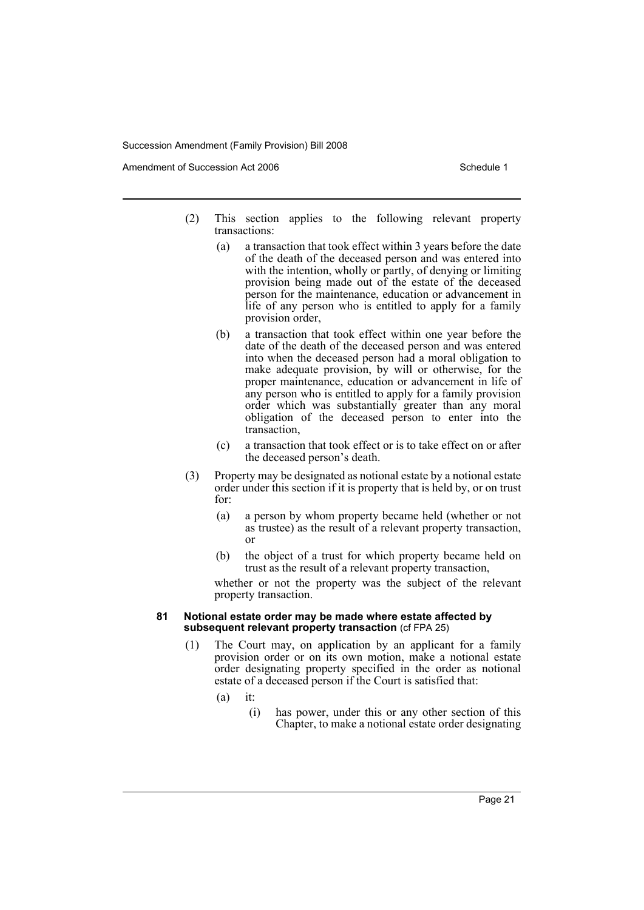Amendment of Succession Act 2006 Schedule 1

- (2) This section applies to the following relevant property transactions:
	- (a) a transaction that took effect within 3 years before the date of the death of the deceased person and was entered into with the intention, wholly or partly, of denying or limiting provision being made out of the estate of the deceased person for the maintenance, education or advancement in life of any person who is entitled to apply for a family provision order,
	- (b) a transaction that took effect within one year before the date of the death of the deceased person and was entered into when the deceased person had a moral obligation to make adequate provision, by will or otherwise, for the proper maintenance, education or advancement in life of any person who is entitled to apply for a family provision order which was substantially greater than any moral obligation of the deceased person to enter into the transaction,
	- (c) a transaction that took effect or is to take effect on or after the deceased person's death.
- (3) Property may be designated as notional estate by a notional estate order under this section if it is property that is held by, or on trust for:
	- (a) a person by whom property became held (whether or not as trustee) as the result of a relevant property transaction, or
	- (b) the object of a trust for which property became held on trust as the result of a relevant property transaction,

whether or not the property was the subject of the relevant property transaction.

#### **81 Notional estate order may be made where estate affected by subsequent relevant property transaction** (cf FPA 25)

- (1) The Court may, on application by an applicant for a family provision order or on its own motion, make a notional estate order designating property specified in the order as notional estate of a deceased person if the Court is satisfied that:
	- $(a)$  it:
		- (i) has power, under this or any other section of this Chapter, to make a notional estate order designating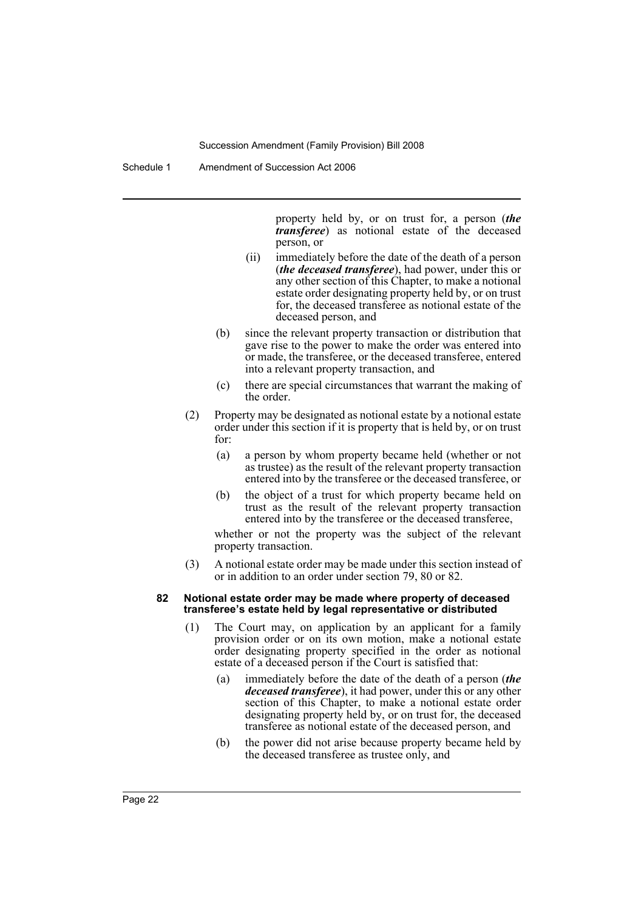Schedule 1 Amendment of Succession Act 2006

property held by, or on trust for, a person (*the transferee*) as notional estate of the deceased person, or

- (ii) immediately before the date of the death of a person (*the deceased transferee*), had power, under this or any other section of this Chapter, to make a notional estate order designating property held by, or on trust for, the deceased transferee as notional estate of the deceased person, and
- (b) since the relevant property transaction or distribution that gave rise to the power to make the order was entered into or made, the transferee, or the deceased transferee, entered into a relevant property transaction, and
- (c) there are special circumstances that warrant the making of the order.
- (2) Property may be designated as notional estate by a notional estate order under this section if it is property that is held by, or on trust for:
	- (a) a person by whom property became held (whether or not as trustee) as the result of the relevant property transaction entered into by the transferee or the deceased transferee, or
	- (b) the object of a trust for which property became held on trust as the result of the relevant property transaction entered into by the transferee or the deceased transferee,

whether or not the property was the subject of the relevant property transaction.

(3) A notional estate order may be made under this section instead of or in addition to an order under section 79, 80 or 82.

#### **82 Notional estate order may be made where property of deceased transferee's estate held by legal representative or distributed**

- (1) The Court may, on application by an applicant for a family provision order or on its own motion, make a notional estate order designating property specified in the order as notional estate of a deceased person if the Court is satisfied that:
	- (a) immediately before the date of the death of a person (*the deceased transferee*), it had power, under this or any other section of this Chapter, to make a notional estate order designating property held by, or on trust for, the deceased transferee as notional estate of the deceased person, and
	- (b) the power did not arise because property became held by the deceased transferee as trustee only, and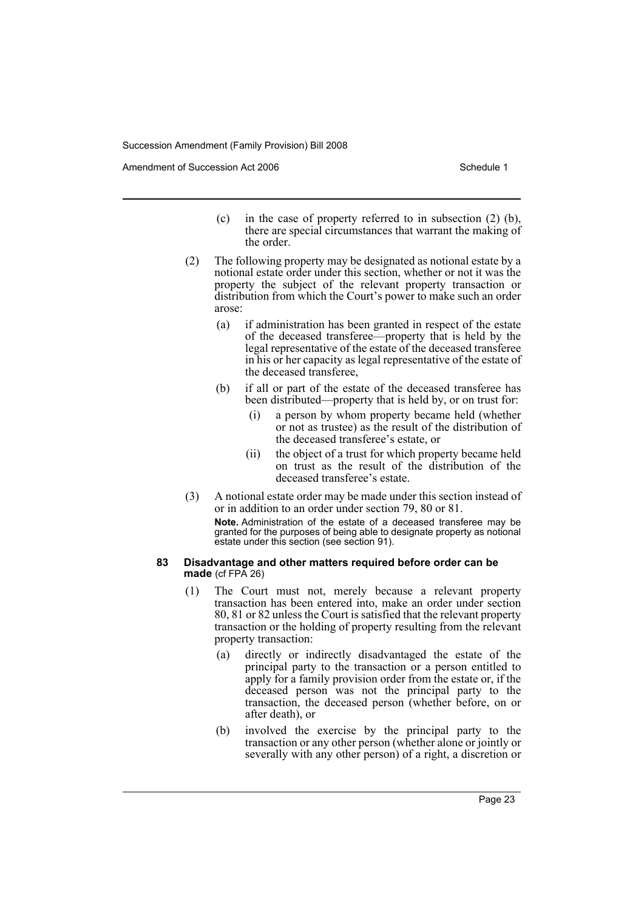Amendment of Succession Act 2006 Schedule 1

- (c) in the case of property referred to in subsection (2) (b), there are special circumstances that warrant the making of the order.
- (2) The following property may be designated as notional estate by a notional estate order under this section, whether or not it was the property the subject of the relevant property transaction or distribution from which the Court's power to make such an order arose:
	- (a) if administration has been granted in respect of the estate of the deceased transferee—property that is held by the legal representative of the estate of the deceased transferee in his or her capacity as legal representative of the estate of the deceased transferee,
	- (b) if all or part of the estate of the deceased transferee has been distributed—property that is held by, or on trust for:
		- (i) a person by whom property became held (whether or not as trustee) as the result of the distribution of the deceased transferee's estate, or
		- (ii) the object of a trust for which property became held on trust as the result of the distribution of the deceased transferee's estate.
- (3) A notional estate order may be made under this section instead of or in addition to an order under section 79, 80 or 81.

**Note.** Administration of the estate of a deceased transferee may be granted for the purposes of being able to designate property as notional estate under this section (see section 91).

#### **83 Disadvantage and other matters required before order can be made** (cf FPA 26)

- (1) The Court must not, merely because a relevant property transaction has been entered into, make an order under section 80, 81 or 82 unless the Court is satisfied that the relevant property transaction or the holding of property resulting from the relevant property transaction:
	- (a) directly or indirectly disadvantaged the estate of the principal party to the transaction or a person entitled to apply for a family provision order from the estate or, if the deceased person was not the principal party to the transaction, the deceased person (whether before, on or after death), or
	- (b) involved the exercise by the principal party to the transaction or any other person (whether alone or jointly or severally with any other person) of a right, a discretion or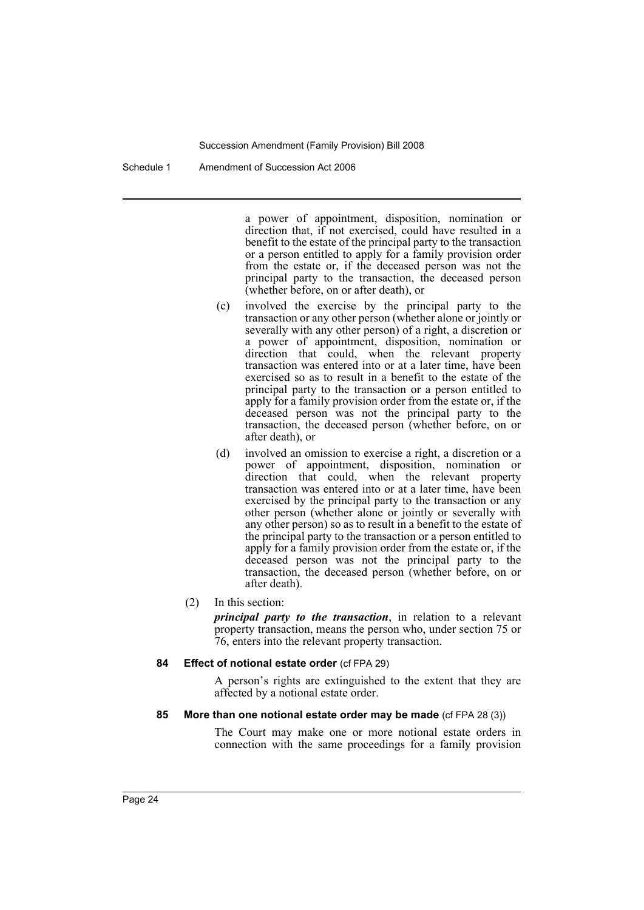Schedule 1 Amendment of Succession Act 2006

a power of appointment, disposition, nomination or direction that, if not exercised, could have resulted in a benefit to the estate of the principal party to the transaction or a person entitled to apply for a family provision order from the estate or, if the deceased person was not the principal party to the transaction, the deceased person (whether before, on or after death), or

- (c) involved the exercise by the principal party to the transaction or any other person (whether alone or jointly or severally with any other person) of a right, a discretion or a power of appointment, disposition, nomination or direction that could, when the relevant property transaction was entered into or at a later time, have been exercised so as to result in a benefit to the estate of the principal party to the transaction or a person entitled to apply for a family provision order from the estate or, if the deceased person was not the principal party to the transaction, the deceased person (whether before, on or after death), or
- (d) involved an omission to exercise a right, a discretion or a power of appointment, disposition, nomination or direction that could, when the relevant property transaction was entered into or at a later time, have been exercised by the principal party to the transaction or any other person (whether alone or jointly or severally with any other person) so as to result in a benefit to the estate of the principal party to the transaction or a person entitled to apply for a family provision order from the estate or, if the deceased person was not the principal party to the transaction, the deceased person (whether before, on or after death).
- (2) In this section:

*principal party to the transaction*, in relation to a relevant property transaction, means the person who, under section 75 or 76, enters into the relevant property transaction.

### **84 Effect of notional estate order** (cf FPA 29)

A person's rights are extinguished to the extent that they are affected by a notional estate order.

# **85 More than one notional estate order may be made** (cf FPA 28 (3))

The Court may make one or more notional estate orders in connection with the same proceedings for a family provision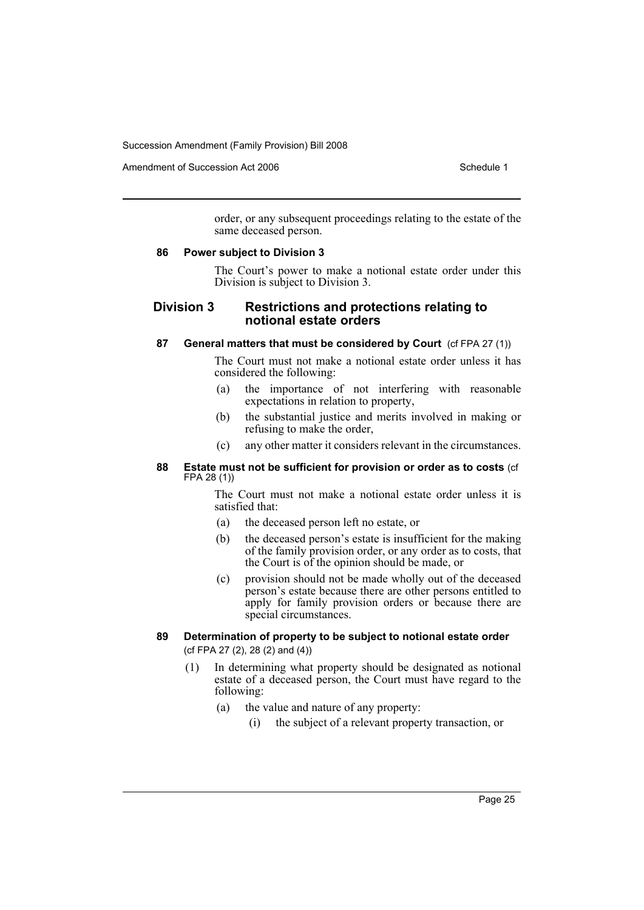Amendment of Succession Act 2006 Schedule 1

order, or any subsequent proceedings relating to the estate of the same deceased person.

### **86 Power subject to Division 3**

The Court's power to make a notional estate order under this Division is subject to Division 3.

# **Division 3 Restrictions and protections relating to notional estate orders**

# **87 General matters that must be considered by Court** (cf FPA 27 (1))

The Court must not make a notional estate order unless it has considered the following:

- (a) the importance of not interfering with reasonable expectations in relation to property,
- (b) the substantial justice and merits involved in making or refusing to make the order,
- (c) any other matter it considers relevant in the circumstances.

### **88 Estate must not be sufficient for provision or order as to costs** (cf FPA 28 (1))

The Court must not make a notional estate order unless it is satisfied that:

- (a) the deceased person left no estate, or
- (b) the deceased person's estate is insufficient for the making of the family provision order, or any order as to costs, that the Court is of the opinion should be made, or
- (c) provision should not be made wholly out of the deceased person's estate because there are other persons entitled to apply for family provision orders or because there are special circumstances.

# **89 Determination of property to be subject to notional estate order**

(cf FPA 27 (2), 28 (2) and (4))

- (1) In determining what property should be designated as notional estate of a deceased person, the Court must have regard to the following:
	- (a) the value and nature of any property:
		- (i) the subject of a relevant property transaction, or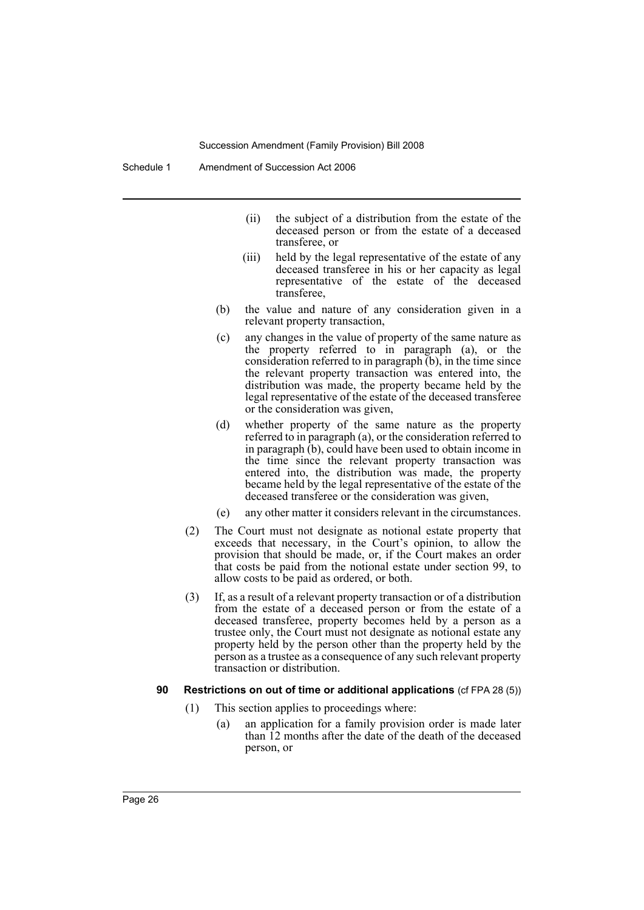Schedule 1 Amendment of Succession Act 2006

- (ii) the subject of a distribution from the estate of the deceased person or from the estate of a deceased transferee, or
- (iii) held by the legal representative of the estate of any deceased transferee in his or her capacity as legal representative of the estate of the deceased transferee,
- (b) the value and nature of any consideration given in a relevant property transaction,
- (c) any changes in the value of property of the same nature as the property referred to in paragraph (a), or the consideration referred to in paragraph (b), in the time since the relevant property transaction was entered into, the distribution was made, the property became held by the legal representative of the estate of the deceased transferee or the consideration was given,
- (d) whether property of the same nature as the property referred to in paragraph (a), or the consideration referred to in paragraph (b), could have been used to obtain income in the time since the relevant property transaction was entered into, the distribution was made, the property became held by the legal representative of the estate of the deceased transferee or the consideration was given,
- (e) any other matter it considers relevant in the circumstances.
- (2) The Court must not designate as notional estate property that exceeds that necessary, in the Court's opinion, to allow the provision that should be made, or, if the Court makes an order that costs be paid from the notional estate under section 99, to allow costs to be paid as ordered, or both.
- (3) If, as a result of a relevant property transaction or of a distribution from the estate of a deceased person or from the estate of a deceased transferee, property becomes held by a person as a trustee only, the Court must not designate as notional estate any property held by the person other than the property held by the person as a trustee as a consequence of any such relevant property transaction or distribution.

# **90 Restrictions on out of time or additional applications** (cf FPA 28 (5))

- (1) This section applies to proceedings where:
	- (a) an application for a family provision order is made later than 12 months after the date of the death of the deceased person, or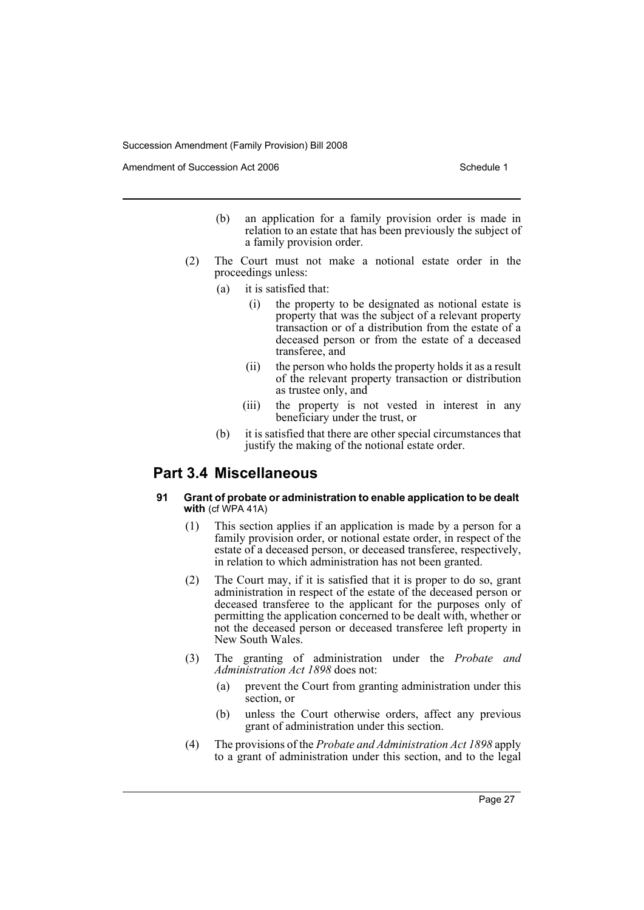Amendment of Succession Act 2006 Schedule 1

- (b) an application for a family provision order is made in relation to an estate that has been previously the subject of a family provision order.
- (2) The Court must not make a notional estate order in the proceedings unless:
	- (a) it is satisfied that:
		- (i) the property to be designated as notional estate is property that was the subject of a relevant property transaction or of a distribution from the estate of a deceased person or from the estate of a deceased transferee, and
		- (ii) the person who holds the property holds it as a result of the relevant property transaction or distribution as trustee only, and
		- (iii) the property is not vested in interest in any beneficiary under the trust, or
	- (b) it is satisfied that there are other special circumstances that justify the making of the notional estate order.

# **Part 3.4 Miscellaneous**

#### **91 Grant of probate or administration to enable application to be dealt with** (cf WPA 41A)

- (1) This section applies if an application is made by a person for a family provision order, or notional estate order, in respect of the estate of a deceased person, or deceased transferee, respectively, in relation to which administration has not been granted.
- (2) The Court may, if it is satisfied that it is proper to do so, grant administration in respect of the estate of the deceased person or deceased transferee to the applicant for the purposes only of permitting the application concerned to be dealt with, whether or not the deceased person or deceased transferee left property in New South Wales.
- (3) The granting of administration under the *Probate and Administration Act 1898* does not:
	- (a) prevent the Court from granting administration under this section, or
	- (b) unless the Court otherwise orders, affect any previous grant of administration under this section.
- (4) The provisions of the *Probate and Administration Act 1898* apply to a grant of administration under this section, and to the legal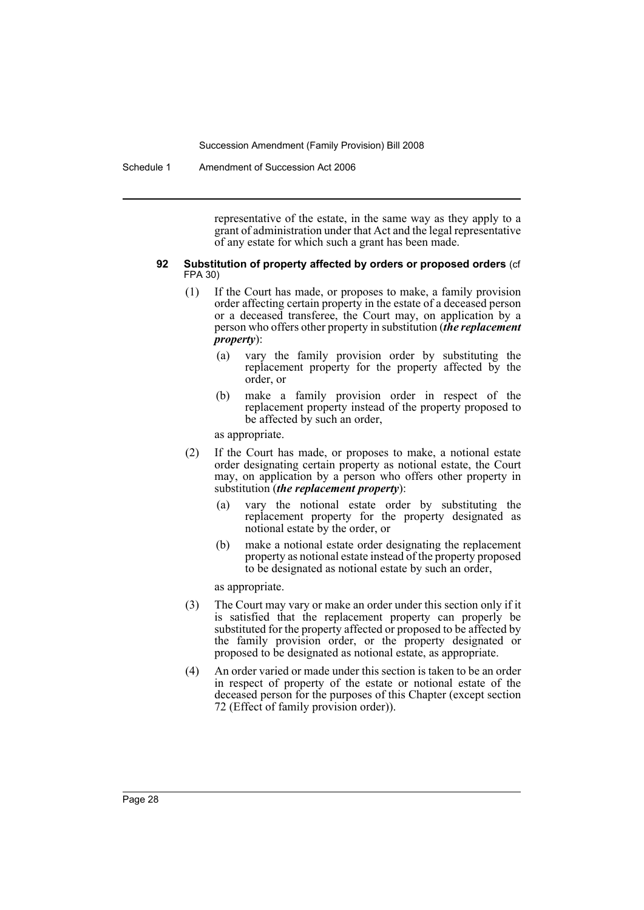Schedule 1 Amendment of Succession Act 2006

representative of the estate, in the same way as they apply to a grant of administration under that Act and the legal representative of any estate for which such a grant has been made.

#### **92 Substitution of property affected by orders or proposed orders** (cf FPA 30)

- (1) If the Court has made, or proposes to make, a family provision order affecting certain property in the estate of a deceased person or a deceased transferee, the Court may, on application by a person who offers other property in substitution (*the replacement property*):
	- (a) vary the family provision order by substituting the replacement property for the property affected by the order, or
	- (b) make a family provision order in respect of the replacement property instead of the property proposed to be affected by such an order,

as appropriate.

- (2) If the Court has made, or proposes to make, a notional estate order designating certain property as notional estate, the Court may, on application by a person who offers other property in substitution (*the replacement property*):
	- (a) vary the notional estate order by substituting the replacement property for the property designated as notional estate by the order, or
	- (b) make a notional estate order designating the replacement property as notional estate instead of the property proposed to be designated as notional estate by such an order,

as appropriate.

- (3) The Court may vary or make an order under this section only if it is satisfied that the replacement property can properly be substituted for the property affected or proposed to be affected by the family provision order, or the property designated or proposed to be designated as notional estate, as appropriate.
- (4) An order varied or made under this section is taken to be an order in respect of property of the estate or notional estate of the deceased person for the purposes of this Chapter (except section 72 (Effect of family provision order)).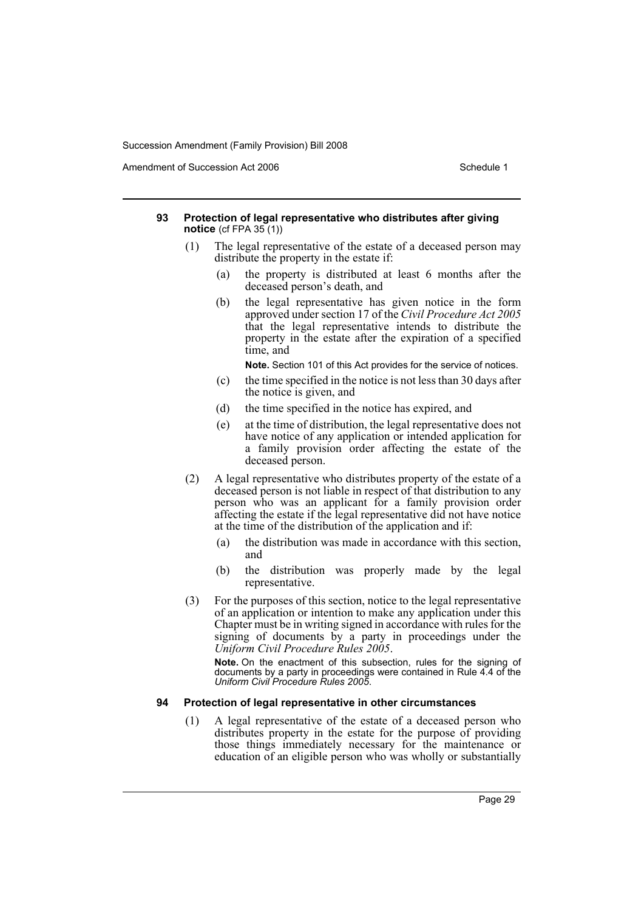Amendment of Succession Act 2006 Schedule 1

#### **93 Protection of legal representative who distributes after giving notice** (cf FPA 35 (1))

- (1) The legal representative of the estate of a deceased person may distribute the property in the estate if:
	- (a) the property is distributed at least 6 months after the deceased person's death, and
	- (b) the legal representative has given notice in the form approved under section 17 of the *Civil Procedure Act 2005* that the legal representative intends to distribute the property in the estate after the expiration of a specified time, and

**Note.** Section 101 of this Act provides for the service of notices.

- (c) the time specified in the notice is not less than 30 days after the notice is given, and
- (d) the time specified in the notice has expired, and
- (e) at the time of distribution, the legal representative does not have notice of any application or intended application for a family provision order affecting the estate of the deceased person.
- (2) A legal representative who distributes property of the estate of a deceased person is not liable in respect of that distribution to any person who was an applicant for a family provision order affecting the estate if the legal representative did not have notice at the time of the distribution of the application and if:
	- (a) the distribution was made in accordance with this section, and
	- (b) the distribution was properly made by the legal representative.
- (3) For the purposes of this section, notice to the legal representative of an application or intention to make any application under this Chapter must be in writing signed in accordance with rules for the signing of documents by a party in proceedings under the *Uniform Civil Procedure Rules 2005*.

**Note.** On the enactment of this subsection, rules for the signing of documents by a party in proceedings were contained in Rule 4.4 of the *Uniform Civil Procedure Rules 2005*.

### **94 Protection of legal representative in other circumstances**

(1) A legal representative of the estate of a deceased person who distributes property in the estate for the purpose of providing those things immediately necessary for the maintenance or education of an eligible person who was wholly or substantially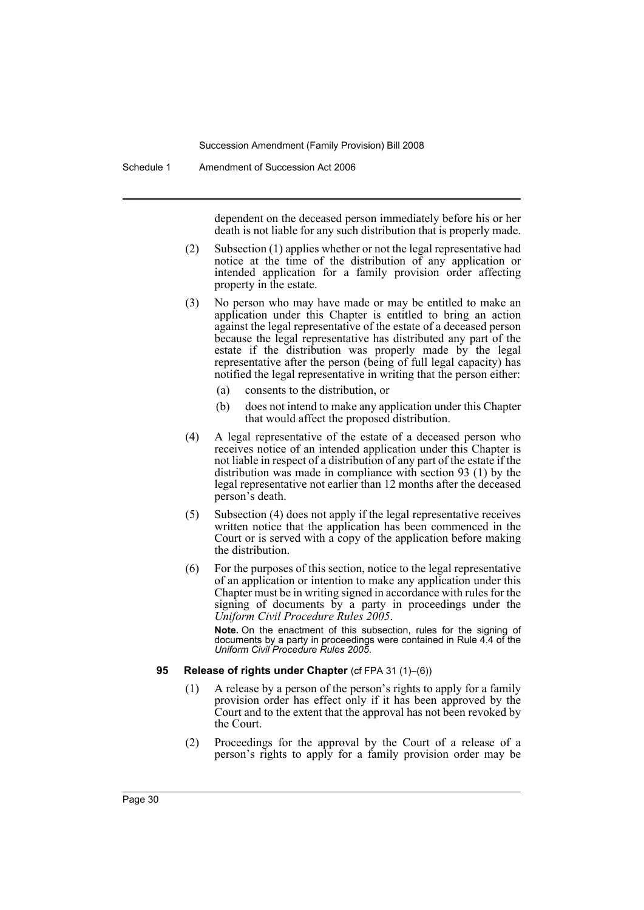Schedule 1 Amendment of Succession Act 2006

dependent on the deceased person immediately before his or her death is not liable for any such distribution that is properly made.

- (2) Subsection (1) applies whether or not the legal representative had notice at the time of the distribution of any application or intended application for a family provision order affecting property in the estate.
- (3) No person who may have made or may be entitled to make an application under this Chapter is entitled to bring an action against the legal representative of the estate of a deceased person because the legal representative has distributed any part of the estate if the distribution was properly made by the legal representative after the person (being of full legal capacity) has notified the legal representative in writing that the person either:
	- (a) consents to the distribution, or
	- (b) does not intend to make any application under this Chapter that would affect the proposed distribution.
- (4) A legal representative of the estate of a deceased person who receives notice of an intended application under this Chapter is not liable in respect of a distribution of any part of the estate if the distribution was made in compliance with section 93 (1) by the legal representative not earlier than 12 months after the deceased person's death.
- (5) Subsection (4) does not apply if the legal representative receives written notice that the application has been commenced in the Court or is served with a copy of the application before making the distribution.
- (6) For the purposes of this section, notice to the legal representative of an application or intention to make any application under this Chapter must be in writing signed in accordance with rules for the signing of documents by a party in proceedings under the *Uniform Civil Procedure Rules 2005*.

**Note.** On the enactment of this subsection, rules for the signing of documents by a party in proceedings were contained in Rule 4.4 of the *Uniform Civil Procedure Rules 2005*.

#### **95 Release of rights under Chapter** (cf FPA 31 (1)–(6))

- (1) A release by a person of the person's rights to apply for a family provision order has effect only if it has been approved by the Court and to the extent that the approval has not been revoked by the Court.
- (2) Proceedings for the approval by the Court of a release of a person's rights to apply for a family provision order may be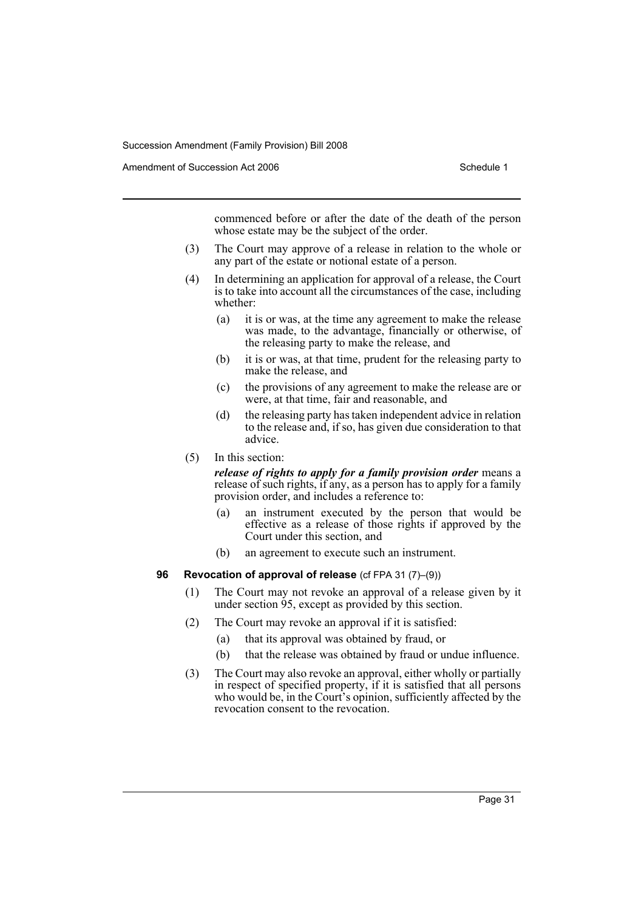Amendment of Succession Act 2006 Schedule 1

commenced before or after the date of the death of the person whose estate may be the subject of the order.

- (3) The Court may approve of a release in relation to the whole or any part of the estate or notional estate of a person.
- (4) In determining an application for approval of a release, the Court is to take into account all the circumstances of the case, including whether:
	- (a) it is or was, at the time any agreement to make the release was made, to the advantage, financially or otherwise, of the releasing party to make the release, and
	- (b) it is or was, at that time, prudent for the releasing party to make the release, and
	- (c) the provisions of any agreement to make the release are or were, at that time, fair and reasonable, and
	- (d) the releasing party has taken independent advice in relation to the release and, if so, has given due consideration to that advice.
- (5) In this section:

*release of rights to apply for a family provision order* means a release of such rights, if any, as a person has to apply for a family provision order, and includes a reference to:

- (a) an instrument executed by the person that would be effective as a release of those rights if approved by the Court under this section, and
- (b) an agreement to execute such an instrument.

### **96 Revocation of approval of release** (cf FPA 31 (7)–(9))

- (1) The Court may not revoke an approval of a release given by it under section 95, except as provided by this section.
- (2) The Court may revoke an approval if it is satisfied:
	- (a) that its approval was obtained by fraud, or
	- (b) that the release was obtained by fraud or undue influence.
- (3) The Court may also revoke an approval, either wholly or partially in respect of specified property, if it is satisfied that all persons who would be, in the Court's opinion, sufficiently affected by the revocation consent to the revocation.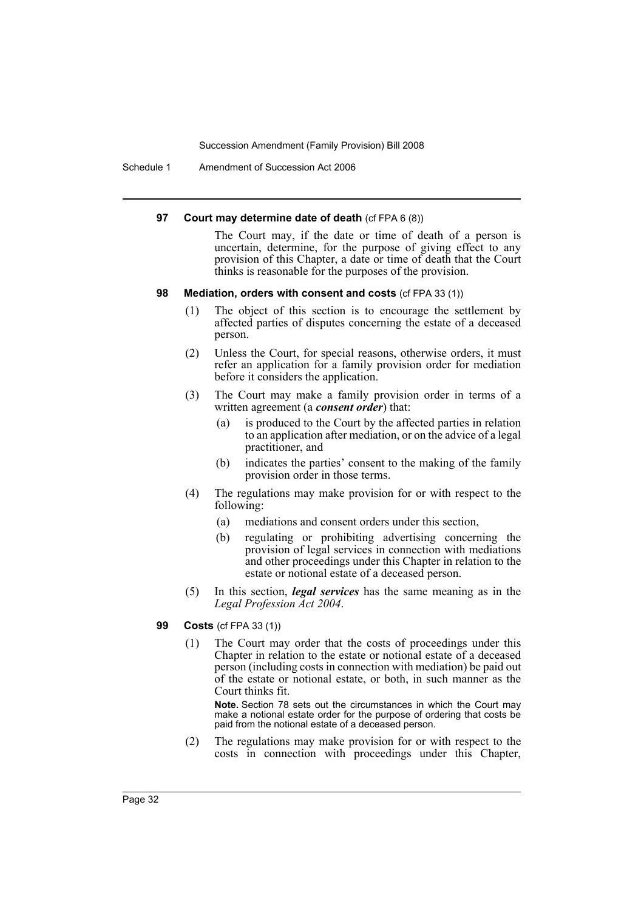Schedule 1 Amendment of Succession Act 2006

#### **97 Court may determine date of death** (cf FPA 6 (8))

The Court may, if the date or time of death of a person is uncertain, determine, for the purpose of giving effect to any provision of this Chapter, a date or time of death that the Court thinks is reasonable for the purposes of the provision.

### **98 Mediation, orders with consent and costs** (cf FPA 33 (1))

- (1) The object of this section is to encourage the settlement by affected parties of disputes concerning the estate of a deceased person.
- (2) Unless the Court, for special reasons, otherwise orders, it must refer an application for a family provision order for mediation before it considers the application.
- (3) The Court may make a family provision order in terms of a written agreement (a *consent order*) that:
	- (a) is produced to the Court by the affected parties in relation to an application after mediation, or on the advice of a legal practitioner, and
	- (b) indicates the parties' consent to the making of the family provision order in those terms.
- (4) The regulations may make provision for or with respect to the following:
	- (a) mediations and consent orders under this section,
	- (b) regulating or prohibiting advertising concerning the provision of legal services in connection with mediations and other proceedings under this Chapter in relation to the estate or notional estate of a deceased person.
- (5) In this section, *legal services* has the same meaning as in the *Legal Profession Act 2004*.

# **99 Costs** (cf FPA 33 (1))

(1) The Court may order that the costs of proceedings under this Chapter in relation to the estate or notional estate of a deceased person (including costs in connection with mediation) be paid out of the estate or notional estate, or both, in such manner as the Court thinks fit.

**Note.** Section 78 sets out the circumstances in which the Court may make a notional estate order for the purpose of ordering that costs be paid from the notional estate of a deceased person.

(2) The regulations may make provision for or with respect to the costs in connection with proceedings under this Chapter,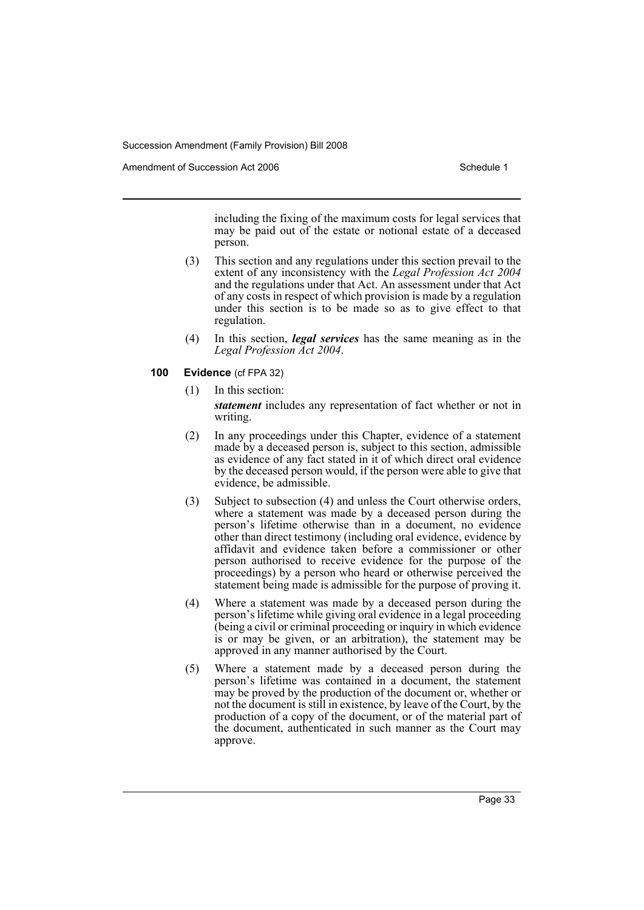Amendment of Succession Act 2006 Schedule 1

including the fixing of the maximum costs for legal services that may be paid out of the estate or notional estate of a deceased person.

- (3) This section and any regulations under this section prevail to the extent of any inconsistency with the *Legal Profession Act 2004* and the regulations under that Act. An assessment under that Act of any costs in respect of which provision is made by a regulation under this section is to be made so as to give effect to that regulation.
- (4) In this section, *legal services* has the same meaning as in the *Legal Profession Act 2004*.
- **100 Evidence** (cf FPA 32)
	- (1) In this section: *statement* includes any representation of fact whether or not in writing.
	- (2) In any proceedings under this Chapter, evidence of a statement made by a deceased person is, subject to this section, admissible as evidence of any fact stated in it of which direct oral evidence by the deceased person would, if the person were able to give that evidence, be admissible.
	- (3) Subject to subsection (4) and unless the Court otherwise orders, where a statement was made by a deceased person during the person's lifetime otherwise than in a document, no evidence other than direct testimony (including oral evidence, evidence by affidavit and evidence taken before a commissioner or other person authorised to receive evidence for the purpose of the proceedings) by a person who heard or otherwise perceived the statement being made is admissible for the purpose of proving it.
	- (4) Where a statement was made by a deceased person during the person's lifetime while giving oral evidence in a legal proceeding (being a civil or criminal proceeding or inquiry in which evidence is or may be given, or an arbitration), the statement may be approved in any manner authorised by the Court.
	- (5) Where a statement made by a deceased person during the person's lifetime was contained in a document, the statement may be proved by the production of the document or, whether or not the document is still in existence, by leave of the Court, by the production of a copy of the document, or of the material part of the document, authenticated in such manner as the Court may approve.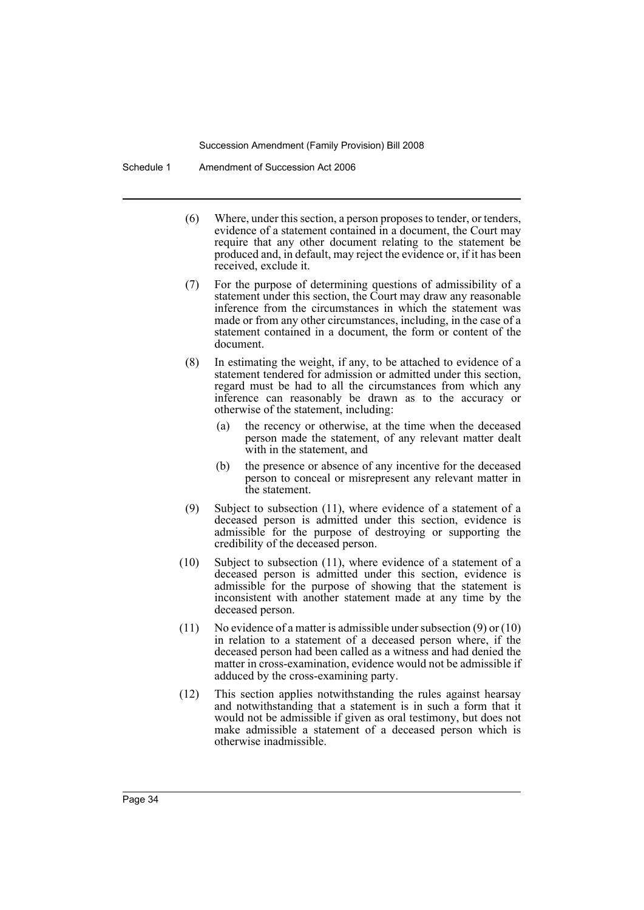Schedule 1 Amendment of Succession Act 2006

- (6) Where, under this section, a person proposes to tender, or tenders, evidence of a statement contained in a document, the Court may require that any other document relating to the statement be produced and, in default, may reject the evidence or, if it has been received, exclude it.
- (7) For the purpose of determining questions of admissibility of a statement under this section, the Court may draw any reasonable inference from the circumstances in which the statement was made or from any other circumstances, including, in the case of a statement contained in a document, the form or content of the document.
- (8) In estimating the weight, if any, to be attached to evidence of a statement tendered for admission or admitted under this section, regard must be had to all the circumstances from which any inference can reasonably be drawn as to the accuracy or otherwise of the statement, including:
	- (a) the recency or otherwise, at the time when the deceased person made the statement, of any relevant matter dealt with in the statement, and
	- (b) the presence or absence of any incentive for the deceased person to conceal or misrepresent any relevant matter in the statement.
- (9) Subject to subsection (11), where evidence of a statement of a deceased person is admitted under this section, evidence is admissible for the purpose of destroying or supporting the credibility of the deceased person.
- (10) Subject to subsection (11), where evidence of a statement of a deceased person is admitted under this section, evidence is admissible for the purpose of showing that the statement is inconsistent with another statement made at any time by the deceased person.
- (11) No evidence of a matter is admissible under subsection (9) or (10) in relation to a statement of a deceased person where, if the deceased person had been called as a witness and had denied the matter in cross-examination, evidence would not be admissible if adduced by the cross-examining party.
- (12) This section applies notwithstanding the rules against hearsay and notwithstanding that a statement is in such a form that it would not be admissible if given as oral testimony, but does not make admissible a statement of a deceased person which is otherwise inadmissible.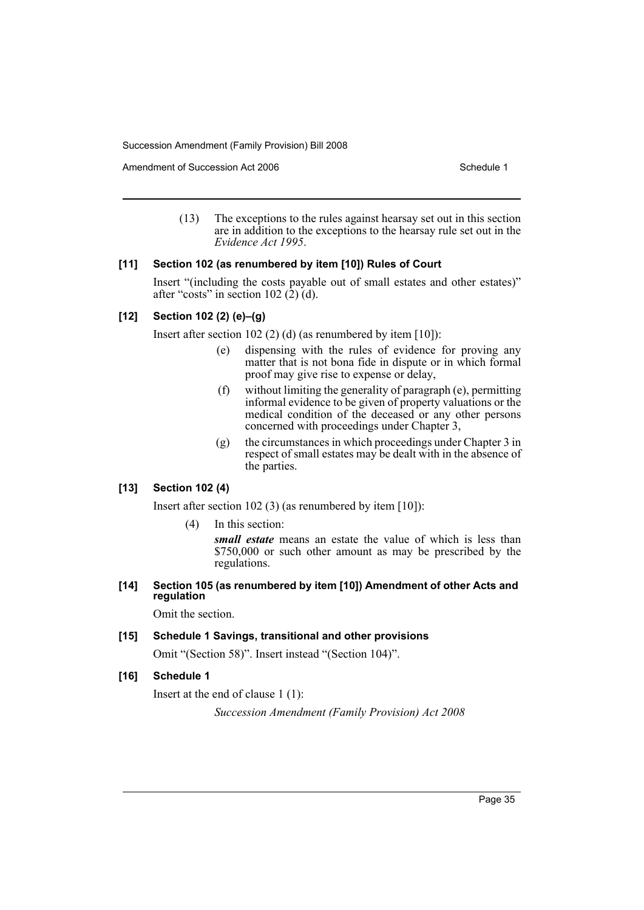Amendment of Succession Act 2006 Schedule 1

(13) The exceptions to the rules against hearsay set out in this section are in addition to the exceptions to the hearsay rule set out in the *Evidence Act 1995*.

# **[11] Section 102 (as renumbered by item [10]) Rules of Court**

Insert "(including the costs payable out of small estates and other estates)" after "costs" in section  $102 \space (\hat{2}) \space$  (d).

# **[12] Section 102 (2) (e)–(g)**

Insert after section 102 (2) (d) (as renumbered by item [10]):

- (e) dispensing with the rules of evidence for proving any matter that is not bona fide in dispute or in which formal proof may give rise to expense or delay,
- (f) without limiting the generality of paragraph (e), permitting informal evidence to be given of property valuations or the medical condition of the deceased or any other persons concerned with proceedings under Chapter 3,
- (g) the circumstances in which proceedings under Chapter 3 in respect of small estates may be dealt with in the absence of the parties.

### **[13] Section 102 (4)**

Insert after section 102 (3) (as renumbered by item [10]):

(4) In this section:

*small estate* means an estate the value of which is less than \$750,000 or such other amount as may be prescribed by the regulations.

**[14] Section 105 (as renumbered by item [10]) Amendment of other Acts and regulation**

Omit the section.

# **[15] Schedule 1 Savings, transitional and other provisions**

Omit "(Section 58)". Insert instead "(Section 104)".

# **[16] Schedule 1**

Insert at the end of clause 1 (1):

*Succession Amendment (Family Provision) Act 2008*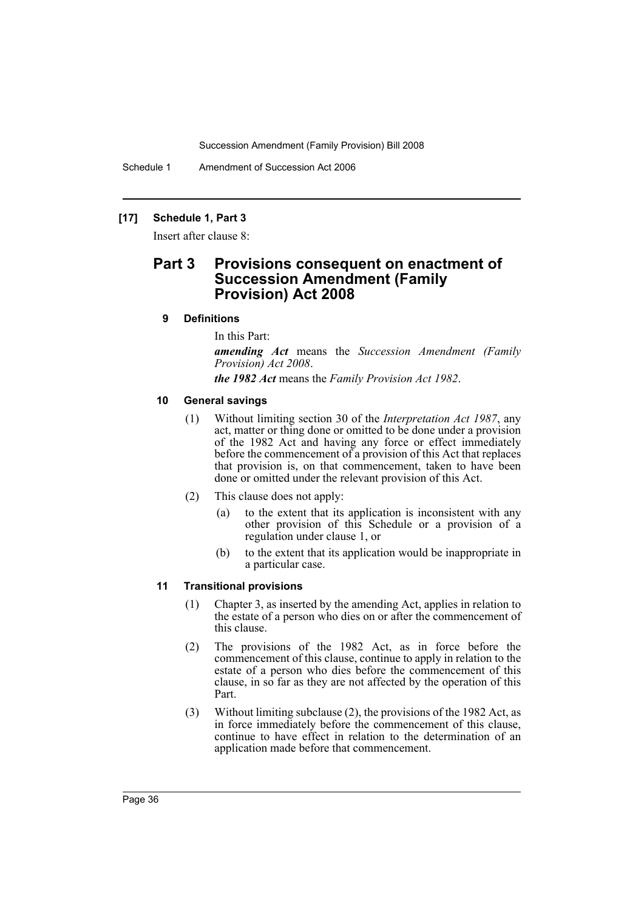Schedule 1 Amendment of Succession Act 2006

# **[17] Schedule 1, Part 3**

Insert after clause 8:

# **Part 3 Provisions consequent on enactment of Succession Amendment (Family Provision) Act 2008**

### **9 Definitions**

In this Part:

*amending Act* means the *Succession Amendment (Family Provision) Act 2008*.

*the 1982 Act* means the *Family Provision Act 1982*.

# **10 General savings**

- (1) Without limiting section 30 of the *Interpretation Act 1987*, any act, matter or thing done or omitted to be done under a provision of the 1982 Act and having any force or effect immediately before the commencement of a provision of this Act that replaces that provision is, on that commencement, taken to have been done or omitted under the relevant provision of this Act.
- (2) This clause does not apply:
	- (a) to the extent that its application is inconsistent with any other provision of this Schedule or a provision of a regulation under clause 1, or
	- (b) to the extent that its application would be inappropriate in a particular case.

### **11 Transitional provisions**

- (1) Chapter 3, as inserted by the amending Act, applies in relation to the estate of a person who dies on or after the commencement of this clause.
- (2) The provisions of the 1982 Act, as in force before the commencement of this clause, continue to apply in relation to the estate of a person who dies before the commencement of this clause, in so far as they are not affected by the operation of this Part.
- (3) Without limiting subclause (2), the provisions of the 1982 Act, as in force immediately before the commencement of this clause, continue to have effect in relation to the determination of an application made before that commencement.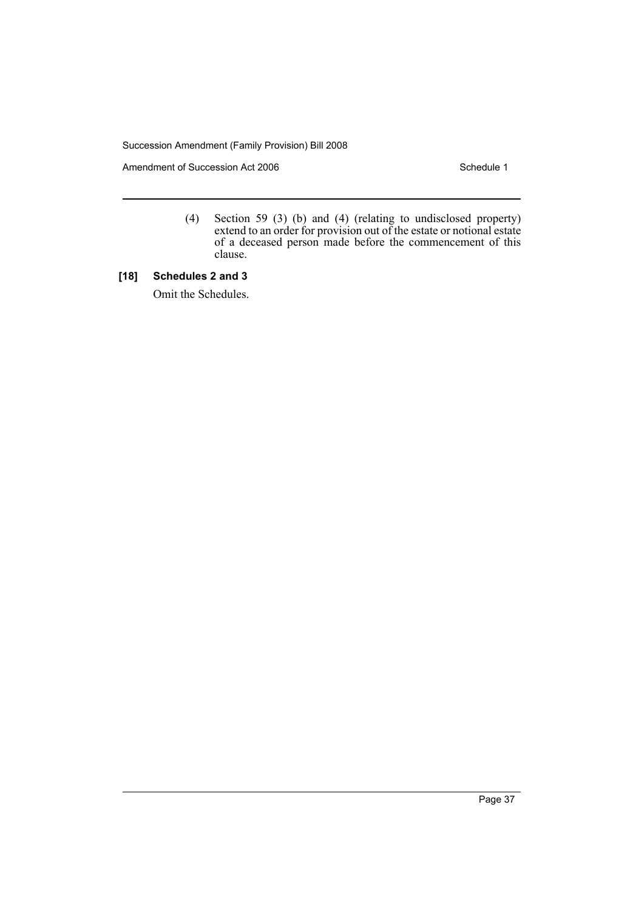Amendment of Succession Act 2006 Schedule 1

(4) Section 59 (3) (b) and (4) (relating to undisclosed property) extend to an order for provision out of the estate or notional estate of a deceased person made before the commencement of this clause.

# **[18] Schedules 2 and 3**

Omit the Schedules.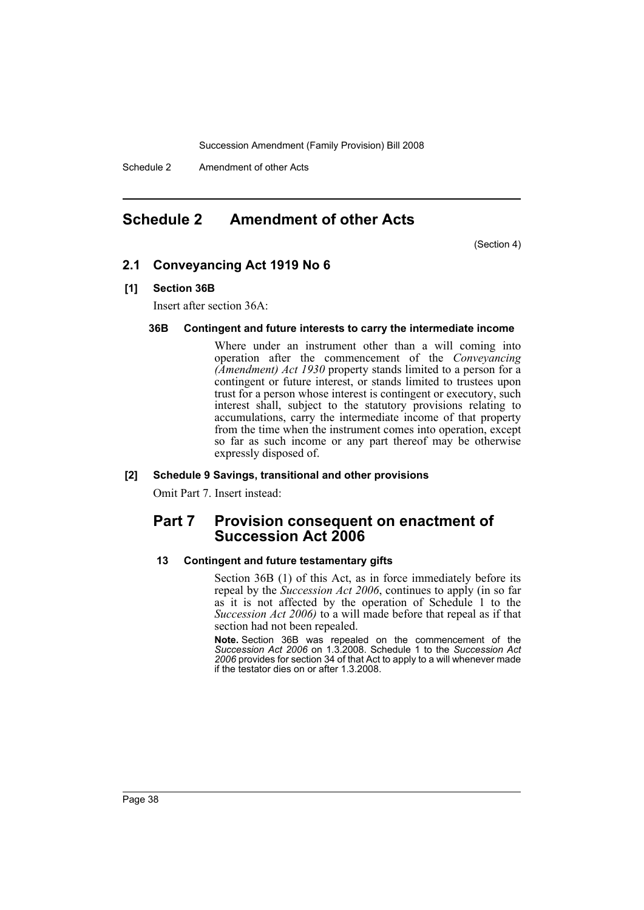Schedule 2 Amendment of other Acts

# <span id="page-38-0"></span>**Schedule 2 Amendment of other Acts**

(Section 4)

# **2.1 Conveyancing Act 1919 No 6**

# **[1] Section 36B**

Insert after section 36A:

### **36B Contingent and future interests to carry the intermediate income**

Where under an instrument other than a will coming into operation after the commencement of the *Conveyancing (Amendment) Act 1930* property stands limited to a person for a contingent or future interest, or stands limited to trustees upon trust for a person whose interest is contingent or executory, such interest shall, subject to the statutory provisions relating to accumulations, carry the intermediate income of that property from the time when the instrument comes into operation, except so far as such income or any part thereof may be otherwise expressly disposed of.

### **[2] Schedule 9 Savings, transitional and other provisions**

Omit Part 7. Insert instead:

# **Part 7 Provision consequent on enactment of Succession Act 2006**

### **13 Contingent and future testamentary gifts**

Section 36B (1) of this Act, as in force immediately before its repeal by the *Succession Act 2006*, continues to apply (in so far as it is not affected by the operation of Schedule 1 to the *Succession Act 2006)* to a will made before that repeal as if that section had not been repealed.

**Note.** Section 36B was repealed on the commencement of the *Succession Act 2006* on 1.3.2008. Schedule 1 to the *Succession Act 2006* provides for section 34 of that Act to apply to a will whenever made if the testator dies on or after 1.3.2008.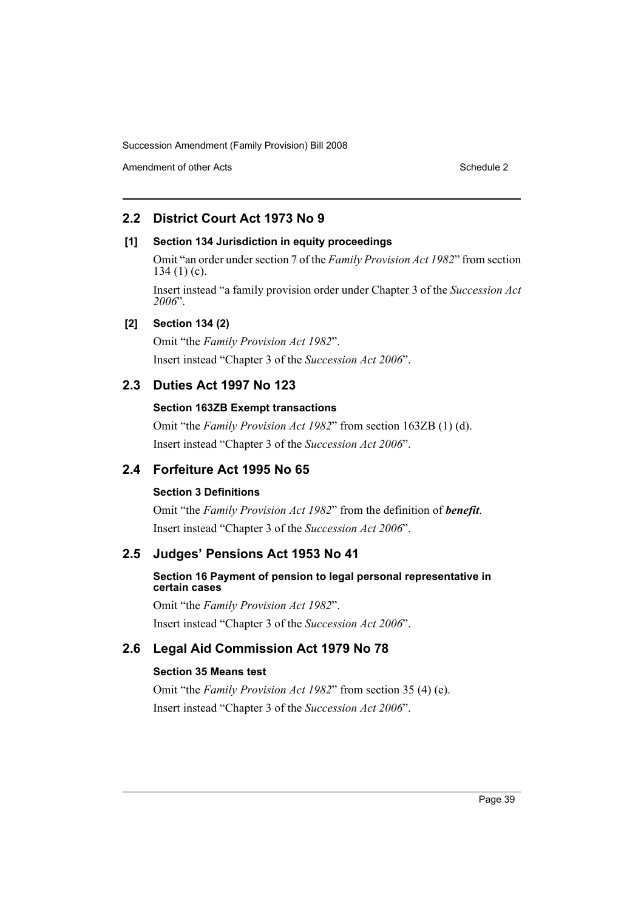Amendment of other Acts **Schedule 2** and the 2 and the 2 and 2 and 2 and 2 and 2 and 2 and 2 and 2 and 2 and 2 and 2 and 2 and 2 and 2 and 2 and 2 and 2 and 2 and 2 and 2 and 2 and 2 and 2 and 2 and 2 and 2 and 2 and 2 and

# **2.2 District Court Act 1973 No 9**

# **[1] Section 134 Jurisdiction in equity proceedings**

Omit "an order under section 7 of the *Family Provision Act 1982*" from section  $134 (1) (c)$ .

Insert instead "a family provision order under Chapter 3 of the *Succession Act 2006*".

# **[2] Section 134 (2)**

Omit "the *Family Provision Act 1982*". Insert instead "Chapter 3 of the *Succession Act 2006*".

# **2.3 Duties Act 1997 No 123**

# **Section 163ZB Exempt transactions**

Omit "the *Family Provision Act 1982*" from section 163ZB (1) (d). Insert instead "Chapter 3 of the *Succession Act 2006*".

# **2.4 Forfeiture Act 1995 No 65**

# **Section 3 Definitions**

Omit "the *Family Provision Act 1982*" from the definition of *benefit*. Insert instead "Chapter 3 of the *Succession Act 2006*".

# **2.5 Judges' Pensions Act 1953 No 41**

# **Section 16 Payment of pension to legal personal representative in certain cases**

Omit "the *Family Provision Act 1982*". Insert instead "Chapter 3 of the *Succession Act 2006*".

# **2.6 Legal Aid Commission Act 1979 No 78**

# **Section 35 Means test**

Omit "the *Family Provision Act 1982*" from section 35 (4) (e). Insert instead "Chapter 3 of the *Succession Act 2006*".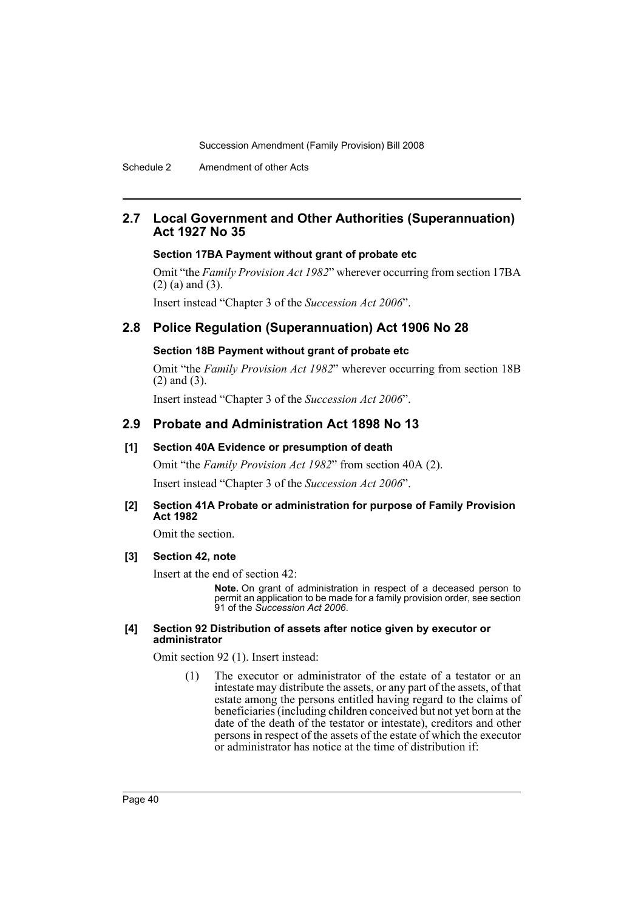# **2.7 Local Government and Other Authorities (Superannuation) Act 1927 No 35**

#### **Section 17BA Payment without grant of probate etc**

Omit "the *Family Provision Act 1982*" wherever occurring from section 17BA (2) (a) and (3).

Insert instead "Chapter 3 of the *Succession Act 2006*".

# **2.8 Police Regulation (Superannuation) Act 1906 No 28**

# **Section 18B Payment without grant of probate etc**

Omit "the *Family Provision Act 1982*" wherever occurring from section 18B (2) and (3).

Insert instead "Chapter 3 of the *Succession Act 2006*".

# **2.9 Probate and Administration Act 1898 No 13**

### **[1] Section 40A Evidence or presumption of death**

Omit "the *Family Provision Act 1982*" from section 40A (2). Insert instead "Chapter 3 of the *Succession Act 2006*".

### **[2] Section 41A Probate or administration for purpose of Family Provision Act 1982**

Omit the section.

# **[3] Section 42, note**

Insert at the end of section 42:

**Note.** On grant of administration in respect of a deceased person to permit an application to be made for a family provision order, see section 91 of the *Succession Act 2006*.

#### **[4] Section 92 Distribution of assets after notice given by executor or administrator**

Omit section 92 (1). Insert instead:

(1) The executor or administrator of the estate of a testator or an intestate may distribute the assets, or any part of the assets, of that estate among the persons entitled having regard to the claims of beneficiaries (including children conceived but not yet born at the date of the death of the testator or intestate), creditors and other persons in respect of the assets of the estate of which the executor or administrator has notice at the time of distribution if: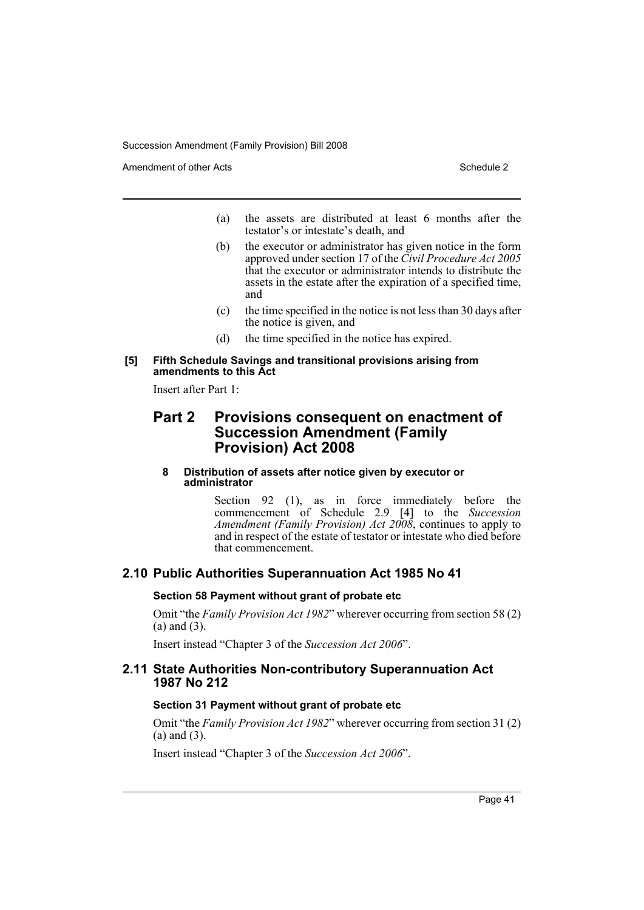Amendment of other Acts **Schedule 2** and the 2 and the 2 and 2 and 2 and 2 and 2 and 2 and 2 and 2 and 2 and 2 and 2 and 2 and 2 and 2 and 2 and 2 and 2 and 2 and 2 and 2 and 2 and 2 and 2 and 2 and 2 and 2 and 2 and 2 and

- (a) the assets are distributed at least 6 months after the testator's or intestate's death, and
- (b) the executor or administrator has given notice in the form approved under section 17 of the *Civil Procedure Act 2005* that the executor or administrator intends to distribute the assets in the estate after the expiration of a specified time, and
- (c) the time specified in the notice is not less than 30 days after the notice is given, and
- (d) the time specified in the notice has expired.

### **[5] Fifth Schedule Savings and transitional provisions arising from amendments to this Act**

Insert after Part 1:

# **Part 2 Provisions consequent on enactment of Succession Amendment (Family Provision) Act 2008**

### **8 Distribution of assets after notice given by executor or administrator**

Section 92 (1), as in force immediately before the commencement of Schedule 2.9 [4] to the *Succession Amendment (Family Provision) Act 2008*, continues to apply to and in respect of the estate of testator or intestate who died before that commencement.

# **2.10 Public Authorities Superannuation Act 1985 No 41**

### **Section 58 Payment without grant of probate etc**

Omit "the *Family Provision Act 1982*" wherever occurring from section 58 (2) (a) and (3).

Insert instead "Chapter 3 of the *Succession Act 2006*".

# **2.11 State Authorities Non-contributory Superannuation Act 1987 No 212**

# **Section 31 Payment without grant of probate etc**

Omit "the *Family Provision Act 1982*" wherever occurring from section 31 (2) (a) and (3).

Insert instead "Chapter 3 of the *Succession Act 2006*".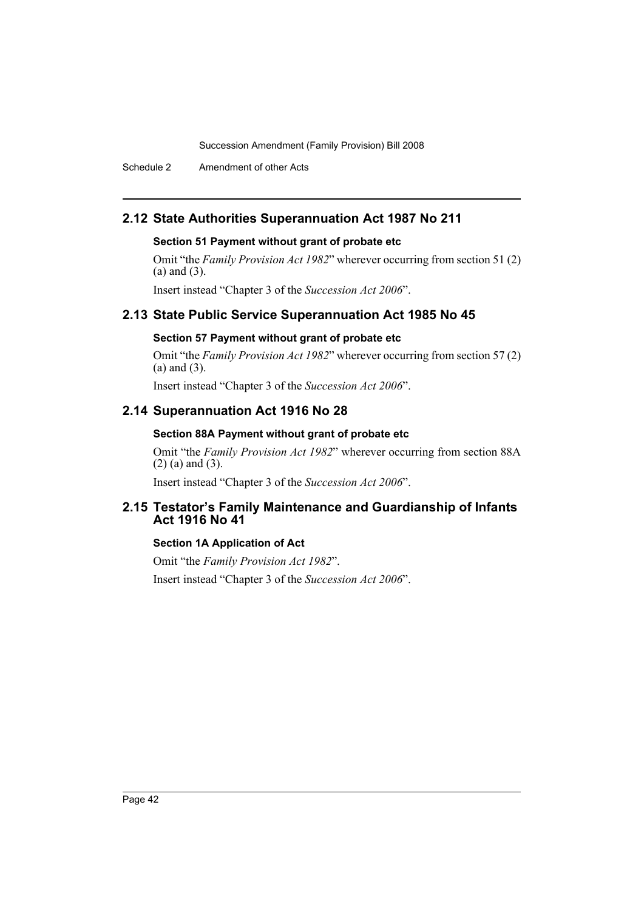Schedule 2 Amendment of other Acts

# **2.12 State Authorities Superannuation Act 1987 No 211**

# **Section 51 Payment without grant of probate etc**

Omit "the *Family Provision Act 1982*" wherever occurring from section 51 (2) (a) and (3).

Insert instead "Chapter 3 of the *Succession Act 2006*".

# **2.13 State Public Service Superannuation Act 1985 No 45**

# **Section 57 Payment without grant of probate etc**

Omit "the *Family Provision Act 1982*" wherever occurring from section 57 (2) (a) and (3).

Insert instead "Chapter 3 of the *Succession Act 2006*".

# **2.14 Superannuation Act 1916 No 28**

# **Section 88A Payment without grant of probate etc**

Omit "the *Family Provision Act 1982*" wherever occurring from section 88A (2) (a) and (3).

Insert instead "Chapter 3 of the *Succession Act 2006*".

# **2.15 Testator's Family Maintenance and Guardianship of Infants Act 1916 No 41**

# **Section 1A Application of Act**

Omit "the *Family Provision Act 1982*". Insert instead "Chapter 3 of the *Succession Act 2006*".